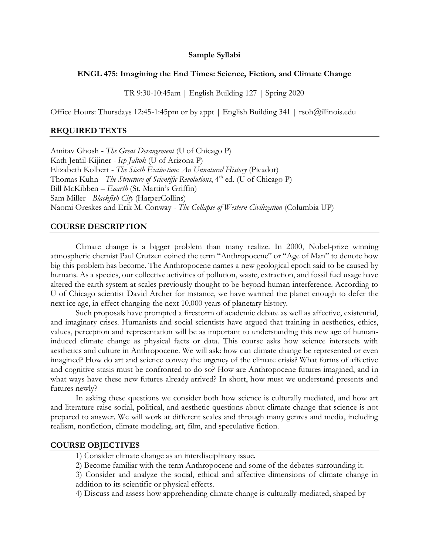### **Sample Syllabi**

### **ENGL 475: Imagining the End Times: Science, Fiction, and Climate Change**

TR 9:30-10:45am | English Building 127 | Spring 2020

Office Hours: Thursdays 12:45-1:45pm or by appt | English Building 341 | rsoh@illinois.edu

## **REQUIRED TEXTS**

Amitav Ghosh - *The Great Derangement* (U of Chicago P) Kath Jetñil-Kijiner - *Iep Jaltok* (U of Arizona P) Elizabeth Kolbert - *The Sixth Extinction: An Unnatural History* (Picador) Thomas Kuhn - *The Structure of Scientific Revolutions*, 4<sup>th</sup> ed. (U of Chicago P) Bill McKibben – *Eaarth* (St. Martin's Griffin) Sam Miller - *Blackfish City* (HarperCollins) Naomi Oreskes and Erik M. Conway - *The Collapse of Western Civilization* (Columbia UP)

#### **COURSE DESCRIPTION**

Climate change is a bigger problem than many realize. In 2000, Nobel-prize winning atmospheric chemist Paul Crutzen coined the term "Anthropocene" or "Age of Man" to denote how big this problem has become. The Anthropocene names a new geological epoch said to be caused by humans. As a species, our collective activities of pollution, waste, extraction, and fossil fuel usage have altered the earth system at scales previously thought to be beyond human interference. According to U of Chicago scientist David Archer for instance, we have warmed the planet enough to defer the next ice age, in effect changing the next 10,000 years of planetary history.

Such proposals have prompted a firestorm of academic debate as well as affective, existential, and imaginary crises. Humanists and social scientists have argued that training in aesthetics, ethics, values, perception and representation will be as important to understanding this new age of humaninduced climate change as physical facts or data. This course asks how science intersects with aesthetics and culture in Anthropocene. We will ask: how can climate change be represented or even imagined? How do art and science convey the urgency of the climate crisis? What forms of affective and cognitive stasis must be confronted to do so? How are Anthropocene futures imagined, and in what ways have these new futures already arrived? In short, how must we understand presents and futures newly?

In asking these questions we consider both how science is culturally mediated, and how art and literature raise social, political, and aesthetic questions about climate change that science is not prepared to answer. We will work at different scales and through many genres and media, including realism, nonfiction, climate modeling, art, film, and speculative fiction.

## **COURSE OBJECTIVES**

1) Consider climate change as an interdisciplinary issue.

2) Become familiar with the term Anthropocene and some of the debates surrounding it.

3) Consider and analyze the social, ethical and affective dimensions of climate change in addition to its scientific or physical effects.

4) Discuss and assess how apprehending climate change is culturally-mediated, shaped by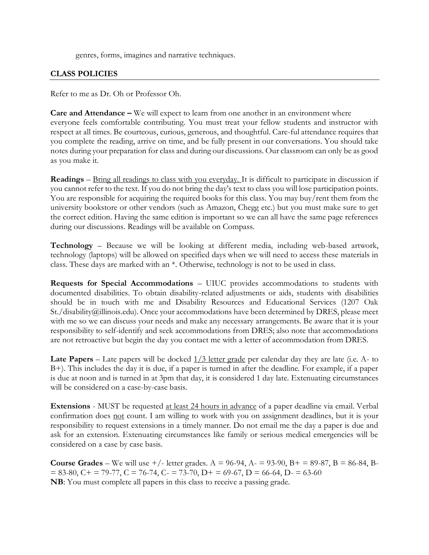genres, forms, imagines and narrative techniques.

## **CLASS POLICIES**

Refer to me as Dr. Oh or Professor Oh.

**Care and Attendance –** We will expect to learn from one another in an environment where everyone feels comfortable contributing. You must treat your fellow students and instructor with respect at all times. Be courteous, curious, generous, and thoughtful. Care-ful attendance requires that you complete the reading, arrive on time, and be fully present in our conversations. You should take notes during your preparation for class and during our discussions. Our classroom can only be as good as you make it.

**Readings** – Bring all readings to class with you everyday. It is difficult to participate in discussion if you cannot refer to the text. If you do not bring the day's text to class you will lose participation points. You are responsible for acquiring the required books for this class. You may buy/rent them from the university bookstore or other vendors (such as Amazon, Chegg etc.) but you must make sure to get the correct edition. Having the same edition is important so we can all have the same page references during our discussions. Readings will be available on Compass.

**Technology** – Because we will be looking at different media, including web-based artwork, technology (laptops) will be allowed on specified days when we will need to access these materials in class. These days are marked with an \*. Otherwise, technology is not to be used in class.

**Requests for Special Accommodations** – UIUC provides accommodations to students with documented disabilities. To obtain disability-related adjustments or aids, students with disabilities should be in touch with me and Disability Resources and Educational Services (1207 Oak St./disability@illinois.edu). Once your accommodations have been determined by DRES, please meet with me so we can discuss your needs and make any necessary arrangements. Be aware that it is your responsibility to self-identify and seek accommodations from DRES; also note that accommodations are not retroactive but begin the day you contact me with a letter of accommodation from DRES.

**Late Papers** – Late papers will be docked  $\frac{1}{3}$  letter grade per calendar day they are late (i.e. A- to B+). This includes the day it is due, if a paper is turned in after the deadline. For example, if a paper is due at noon and is turned in at 3pm that day, it is considered 1 day late. Extenuating circumstances will be considered on a case-by-case basis.

**Extensions** - MUST be requested at least 24 hours in advance of a paper deadline via email. Verbal confirmation does not count. I am willing to work with you on assignment deadlines, but it is your responsibility to request extensions in a timely manner. Do not email me the day a paper is due and ask for an extension. Extenuating circumstances like family or serious medical emergencies will be considered on a case by case basis.

**Course Grades** – We will use  $+/-$  letter grades. A = 96-94, A $-$  = 93-90, B $+$  = 89-87, B = 86-84, B- $= 83-80$ ,  $C + 79-77$ ,  $C = 76-74$ ,  $C - 73-70$ ,  $D + 69-67$ ,  $D = 66-64$ ,  $D - 63-60$ **NB**: You must complete all papers in this class to receive a passing grade.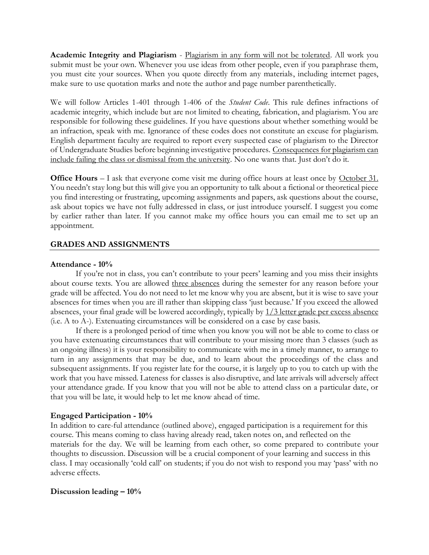**Academic Integrity and Plagiarism** - Plagiarism in any form will not be tolerated. All work you submit must be your own. Whenever you use ideas from other people, even if you paraphrase them, you must cite your sources. When you quote directly from any materials, including internet pages, make sure to use quotation marks and note the author and page number parenthetically.

We will follow Articles 1-401 through 1-406 of the *Student Code*. This rule defines infractions of academic integrity, which include but are not limited to cheating, fabrication, and plagiarism. You are responsible for following these guidelines. If you have questions about whether something would be an infraction, speak with me. Ignorance of these codes does not constitute an excuse for plagiarism. English department faculty are required to report every suspected case of plagiarism to the Director of Undergraduate Studies before beginning investigative procedures. Consequences for plagiarism can include failing the class or dismissal from the university. No one wants that. Just don't do it.

**Office Hours** – I ask that everyone come visit me during office hours at least once by October 31. You needn't stay long but this will give you an opportunity to talk about a fictional or theoretical piece you find interesting or frustrating, upcoming assignments and papers, ask questions about the course, ask about topics we have not fully addressed in class, or just introduce yourself. I suggest you come by earlier rather than later. If you cannot make my office hours you can email me to set up an appointment.

## **GRADES AND ASSIGNMENTS**

## **Attendance - 10%**

If you're not in class, you can't contribute to your peers' learning and you miss their insights about course texts. You are allowed three absences during the semester for any reason before your grade will be affected. You do not need to let me know why you are absent, but it is wise to save your absences for times when you are ill rather than skipping class 'just because.' If you exceed the allowed absences, your final grade will be lowered accordingly, typically by 1/3 letter grade per excess absence (i.e. A to A-). Extenuating circumstances will be considered on a case by case basis.

If there is a prolonged period of time when you know you will not be able to come to class or you have extenuating circumstances that will contribute to your missing more than 3 classes (such as an ongoing illness) it is your responsibility to communicate with me in a timely manner, to arrange to turn in any assignments that may be due, and to learn about the proceedings of the class and subsequent assignments. If you register late for the course, it is largely up to you to catch up with the work that you have missed. Lateness for classes is also disruptive, and late arrivals will adversely affect your attendance grade. If you know that you will not be able to attend class on a particular date, or that you will be late, it would help to let me know ahead of time.

## **Engaged Participation - 10%**

In addition to care-ful attendance (outlined above), engaged participation is a requirement for this course. This means coming to class having already read, taken notes on, and reflected on the materials for the day. We will be learning from each other, so come prepared to contribute your thoughts to discussion. Discussion will be a crucial component of your learning and success in this class. I may occasionally 'cold call' on students; if you do not wish to respond you may 'pass' with no adverse effects.

## **Discussion leading – 10%**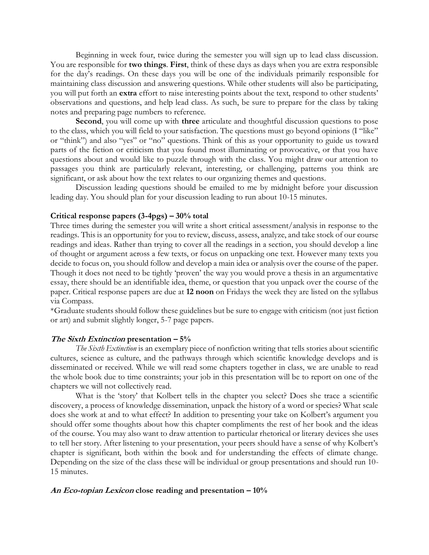Beginning in week four, twice during the semester you will sign up to lead class discussion. You are responsible for **two things**. **First**, think of these days as days when you are extra responsible for the day's readings. On these days you will be one of the individuals primarily responsible for maintaining class discussion and answering questions. While other students will also be participating, you will put forth an **extra** effort to raise interesting points about the text, respond to other students' observations and questions, and help lead class. As such, be sure to prepare for the class by taking notes and preparing page numbers to reference.

**Second**, you will come up with **three** articulate and thoughtful discussion questions to pose to the class, which you will field to your satisfaction. The questions must go beyond opinions (I "like" or "think") and also "yes" or "no" questions. Think of this as your opportunity to guide us toward parts of the fiction or criticism that you found most illuminating or provocative, or that you have questions about and would like to puzzle through with the class. You might draw our attention to passages you think are particularly relevant, interesting, or challenging, patterns you think are significant, or ask about how the text relates to our organizing themes and questions.

Discussion leading questions should be emailed to me by midnight before your discussion leading day. You should plan for your discussion leading to run about 10-15 minutes.

### **Critical response papers (3-4pgs) – 30% total**

Three times during the semester you will write a short critical assessment/analysis in response to the readings. This is an opportunity for you to review, discuss, assess, analyze, and take stock of our course readings and ideas. Rather than trying to cover all the readings in a section, you should develop a line of thought or argument across a few texts, or focus on unpacking one text. However many texts you decide to focus on, you should follow and develop a main idea or analysis over the course of the paper. Though it does not need to be tightly 'proven' the way you would prove a thesis in an argumentative essay, there should be an identifiable idea, theme, or question that you unpack over the course of the paper. Critical response papers are due at **12 noon** on Fridays the week they are listed on the syllabus via Compass.

\*Graduate students should follow these guidelines but be sure to engage with criticism (not just fiction or art) and submit slightly longer, 5-7 page papers.

### **The Sixth Extinction presentation – 5%**

*The Sixth Extinction* is an exemplary piece of nonfiction writing that tells stories about scientific cultures, science as culture, and the pathways through which scientific knowledge develops and is disseminated or received. While we will read some chapters together in class, we are unable to read the whole book due to time constraints; your job in this presentation will be to report on one of the chapters we will not collectively read.

What is the 'story' that Kolbert tells in the chapter you select? Does she trace a scientific discovery, a process of knowledge dissemination, unpack the history of a word or species? What scale does she work at and to what effect? In addition to presenting your take on Kolbert's argument you should offer some thoughts about how this chapter compliments the rest of her book and the ideas of the course. You may also want to draw attention to particular rhetorical or literary devices she uses to tell her story. After listening to your presentation, your peers should have a sense of why Kolbert's chapter is significant, both within the book and for understanding the effects of climate change. Depending on the size of the class these will be individual or group presentations and should run 10- 15 minutes.

#### **An Eco-topian Lexicon close reading and presentation – 10%**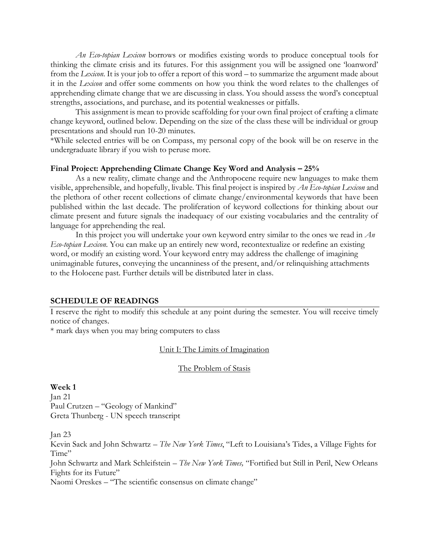*An Eco-topian Lexicon* borrows or modifies existing words to produce conceptual tools for thinking the climate crisis and its futures. For this assignment you will be assigned one 'loanword' from the *Lexicon*. It is your job to offer a report of this word – to summarize the argument made about it in the *Lexicon* and offer some comments on how you think the word relates to the challenges of apprehending climate change that we are discussing in class. You should assess the word's conceptual strengths, associations, and purchase, and its potential weaknesses or pitfalls.

This assignment is mean to provide scaffolding for your own final project of crafting a climate change keyword, outlined below. Depending on the size of the class these will be individual or group presentations and should run 10-20 minutes.

\*While selected entries will be on Compass, my personal copy of the book will be on reserve in the undergraduate library if you wish to peruse more.

### **Final Project: Apprehending Climate Change Key Word and Analysis – 25%**

As a new reality, climate change and the Anthropocene require new languages to make them visible, apprehensible, and hopefully, livable. This final project is inspired by *An Eco-topian Lexicon* and the plethora of other recent collections of climate change/environmental keywords that have been published within the last decade. The proliferation of keyword collections for thinking about our climate present and future signals the inadequacy of our existing vocabularies and the centrality of language for apprehending the real.

In this project you will undertake your own keyword entry similar to the ones we read in *An Eco-topian Lexicon*. You can make up an entirely new word, recontextualize or redefine an existing word, or modify an existing word. Your keyword entry may address the challenge of imagining unimaginable futures, conveying the uncanniness of the present, and/or relinquishing attachments to the Holocene past. Further details will be distributed later in class.

## **SCHEDULE OF READINGS**

I reserve the right to modify this schedule at any point during the semester. You will receive timely notice of changes.

\* mark days when you may bring computers to class

## Unit I: The Limits of Imagination

#### The Problem of Stasis

**Week 1** Jan 21 Paul Crutzen – "Geology of Mankind" Greta Thunberg - UN speech transcript

Jan 23

Kevin Sack and John Schwartz – *The New York Times*, "Left to Louisiana's Tides, a Village Fights for Time"

John Schwartz and Mark Schleifstein – *The New York Times,* "Fortified but Still in Peril, New Orleans Fights for its Future"

Naomi Oreskes – "The scientific consensus on climate change"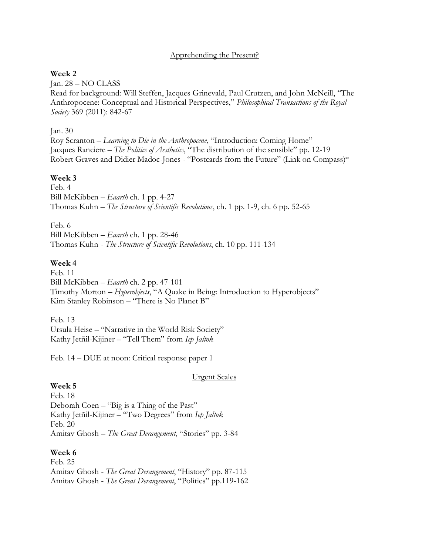## Apprehending the Present?

## **Week 2**

Jan. 28 – NO CLASS Read for background: Will Steffen, Jacques Grinevald, Paul Crutzen, and John McNeill, "The Anthropocene: Conceptual and Historical Perspectives," *Philosophical Transactions of the Royal Society* 369 (2011): 842-67

## Jan. 30

Roy Scranton – *Learning to Die in the Anthropocene*, "Introduction: Coming Home" Jacques Ranciere – *The Politics of Aesthetics*, "The distribution of the sensible" pp. 12-19 Robert Graves and Didier Madoc-Jones - "Postcards from the Future" (Link on Compass)\*

## **Week 3**

Feb. 4 Bill McKibben – *Eaarth* ch. 1 pp. 4-27 Thomas Kuhn – *The Structure of Scientific Revolutions*, ch. 1 pp. 1-9, ch. 6 pp. 52-65

Feb. 6

Bill McKibben – *Eaarth* ch. 1 pp. 28-46 Thomas Kuhn - *The Structure of Scientific Revolutions*, ch. 10 pp. 111-134

## **Week 4**

Feb. 11 Bill McKibben – *Eaarth* ch. 2 pp. 47-101 Timothy Morton – *Hyperobjects*, "A Quake in Being: Introduction to Hyperobjects" Kim Stanley Robinson – "There is No Planet B"

Feb. 13 Ursula Heise – "Narrative in the World Risk Society" Kathy Jetñil-Kijiner – "Tell Them" from *Iep Jaltok*

Feb. 14 – DUE at noon: Critical response paper 1

## Urgent Scales

## **Week 5**

Feb. 18 Deborah Coen – "Big is a Thing of the Past" Kathy Jetñil-Kijiner – "Two Degrees" from *Iep Jaltok* Feb. 20 Amitav Ghosh – *The Great Derangement*, "Stories" pp. 3-84

## **Week 6**

Feb. 25 Amitav Ghosh - *The Great Derangement*, "History" pp. 87-115 Amitav Ghosh - *The Great Derangement*, "Politics" pp.119-162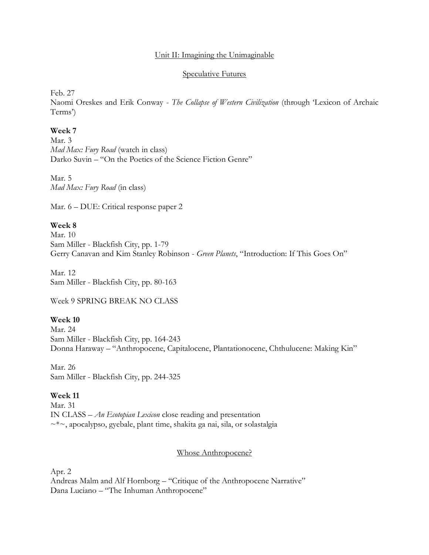## Unit II: Imagining the Unimaginable

## Speculative Futures

Feb. 27

Naomi Oreskes and Erik Conway - *The Collapse of Western Civilization* (through 'Lexicon of Archaic Terms')

## **Week 7**

Mar. 3 *Mad Max: Fury Road* (watch in class) Darko Suvin – "On the Poetics of the Science Fiction Genre"

Mar. 5 *Mad Max: Fury Road* (in class)

Mar. 6 – DUE: Critical response paper 2

## **Week 8**

Mar. 10 Sam Miller - Blackfish City, pp. 1-79 Gerry Canavan and Kim Stanley Robinson - *Green Planets*, "Introduction: If This Goes On"

Mar. 12 Sam Miller - Blackfish City, pp. 80-163

Week 9 SPRING BREAK NO CLASS

## **Week 10**

Mar. 24 Sam Miller - Blackfish City, pp. 164-243 Donna Haraway – "Anthropocene, Capitalocene, Plantationocene, Chthulucene: Making Kin"

Mar. 26 Sam Miller - Blackfish City, pp. 244-325

## **Week 11**

Mar. 31 IN CLASS – *An Ecotopian Lexicon* close reading and presentation ~\*~, apocalypso, gyebale, plant time, shakita ga nai, sila, or solastalgia

## Whose Anthropocene?

Apr. 2

Andreas Malm and Alf Hornborg – "Critique of the Anthropocene Narrative" Dana Luciano – "The Inhuman Anthropocene"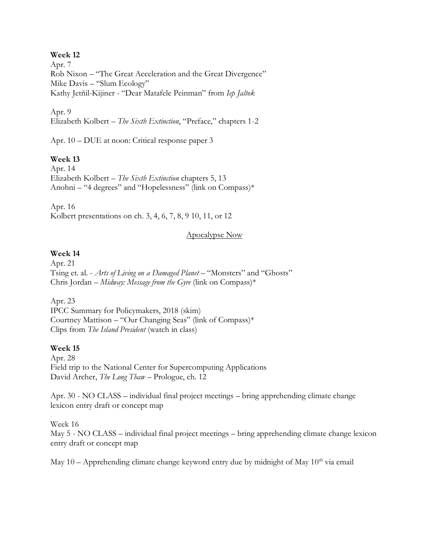## **Week 12**

Apr. 7 Rob Nixon – "The Great Acceleration and the Great Divergence" Mike Davis – "Slum Ecology" Kathy Jetñil-Kijiner - "Dear Matafele Peinman" from *Iep Jaltok*

Apr. 9 Elizabeth Kolbert – *The Sixth Extinction*, "Preface," chapters 1-2

Apr. 10 – DUE at noon: Critical response paper 3

## **Week 13**

Apr. 14 Elizabeth Kolbert – *The Sixth Extinction* chapters 5, 13 Anohni – "4 degrees" and "Hopelessness" (link on Compass)\*

Apr. 16 Kolbert presentations on ch. 3, 4, 6, 7, 8, 9 10, 11, or 12

## Apocalypse Now

## **Week 14**

Apr. 21 Tsing et. al. - *Arts of Living on a Damaged Planet* – "Monsters" and "Ghosts" Chris Jordan – *Midway: Message from the Gyre* (link on Compass)\*

Apr. 23

IPCC Summary for Policymakers, 2018 (skim) Courtney Mattison – "Our Changing Seas" (link of Compass)\* Clips from *The Island President* (watch in class)

## **Week 15**

Apr. 28 Field trip to the National Center for Supercomputing Applications David Archer, *The Long Thaw* – Prologue, ch. 12

Apr. 30 - NO CLASS – individual final project meetings – bring apprehending climate change lexicon entry draft or concept map

Week 16 May 5 - NO CLASS – individual final project meetings – bring apprehending climate change lexicon entry draft or concept map

May  $10$  – Apprehending climate change keyword entry due by midnight of May  $10<sup>th</sup>$  via email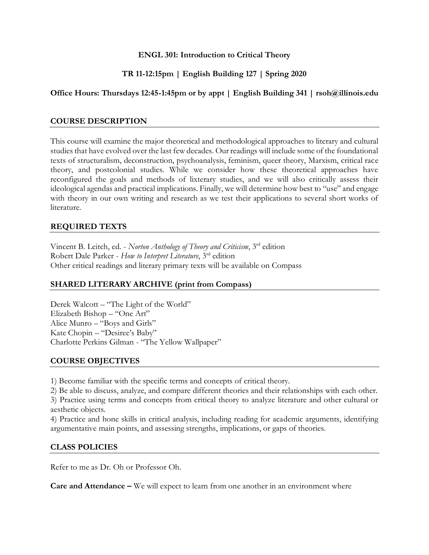## **ENGL 301: Introduction to Critical Theory**

## **TR 11-12:15pm | English Building 127 | Spring 2020**

## **Office Hours: Thursdays 12:45-1:45pm or by appt | English Building 341 | rsoh@illinois.edu**

## **COURSE DESCRIPTION**

This course will examine the major theoretical and methodological approaches to literary and cultural studies that have evolved over the last few decades. Our readings will include some of the foundational texts of structuralism, deconstruction, psychoanalysis, feminism, queer theory, Marxism, critical race theory, and postcolonial studies. While we consider how these theoretical approaches have reconfigured the goals and methods of lixterary studies, and we will also critically assess their ideological agendas and practical implications. Finally, we will determine how best to "use" and engage with theory in our own writing and research as we test their applications to several short works of literature.

## **REQUIRED TEXTS**

Vincent B. Leitch, ed. - *Norton Anthology of Theory and Criticism*, 3rd edition Robert Dale Parker - *How to Interpret Literature*, 3rd edition Other critical readings and literary primary texts will be available on Compass

## **SHARED LITERARY ARCHIVE (print from Compass)**

Derek Walcott – "The Light of the World" Elizabeth Bishop – "One Art" Alice Munro – "Boys and Girls" Kate Chopin – "Desiree's Baby" Charlotte Perkins Gilman - "The Yellow Wallpaper"

## **COURSE OBJECTIVES**

1) Become familiar with the specific terms and concepts of critical theory.

2) Be able to discuss, analyze, and compare different theories and their relationships with each other.

3) Practice using terms and concepts from critical theory to analyze literature and other cultural or aesthetic objects.

4) Practice and hone skills in critical analysis, including reading for academic arguments, identifying argumentative main points, and assessing strengths, implications, or gaps of theories.

## **CLASS POLICIES**

Refer to me as Dr. Oh or Professor Oh.

**Care and Attendance –** We will expect to learn from one another in an environment where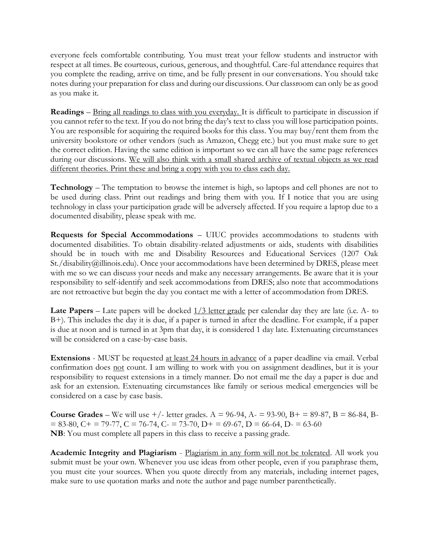everyone feels comfortable contributing. You must treat your fellow students and instructor with respect at all times. Be courteous, curious, generous, and thoughtful. Care-ful attendance requires that you complete the reading, arrive on time, and be fully present in our conversations. You should take notes during your preparation for class and during our discussions. Our classroom can only be as good as you make it.

**Readings** – Bring all readings to class with you everyday. It is difficult to participate in discussion if you cannot refer to the text. If you do not bring the day's text to class you will lose participation points. You are responsible for acquiring the required books for this class. You may buy/rent them from the university bookstore or other vendors (such as Amazon, Chegg etc.) but you must make sure to get the correct edition. Having the same edition is important so we can all have the same page references during our discussions. We will also think with a small shared archive of textual objects as we read different theories. Print these and bring a copy with you to class each day.

**Technology** – The temptation to browse the internet is high, so laptops and cell phones are not to be used during class. Print out readings and bring them with you. If I notice that you are using technology in class your participation grade will be adversely affected. If you require a laptop due to a documented disability, please speak with me.

**Requests for Special Accommodations** – UIUC provides accommodations to students with documented disabilities. To obtain disability-related adjustments or aids, students with disabilities should be in touch with me and Disability Resources and Educational Services (1207 Oak St./disability@illinois.edu). Once your accommodations have been determined by DRES, please meet with me so we can discuss your needs and make any necessary arrangements. Be aware that it is your responsibility to self-identify and seek accommodations from DRES; also note that accommodations are not retroactive but begin the day you contact me with a letter of accommodation from DRES.

**Late Papers** – Late papers will be docked  $\frac{1}{3}$  letter grade per calendar day they are late (i.e. A- to B+). This includes the day it is due, if a paper is turned in after the deadline. For example, if a paper is due at noon and is turned in at 3pm that day, it is considered 1 day late. Extenuating circumstances will be considered on a case-by-case basis.

**Extensions** - MUST be requested at least 24 hours in advance of a paper deadline via email. Verbal confirmation does not count. I am willing to work with you on assignment deadlines, but it is your responsibility to request extensions in a timely manner. Do not email me the day a paper is due and ask for an extension. Extenuating circumstances like family or serious medical emergencies will be considered on a case by case basis.

**Course Grades** – We will use  $+/-$  letter grades. A = 96-94, A = 93-90, B + = 89-87, B = 86-84, B- $= 83-80$ ,  $C_{+} = 79-77$ ,  $C = 76-74$ ,  $C_{-} = 73-70$ ,  $D_{+} = 69-67$ ,  $D = 66-64$ ,  $D_{-} = 63-60$ **NB**: You must complete all papers in this class to receive a passing grade.

**Academic Integrity and Plagiarism** - Plagiarism in any form will not be tolerated. All work you submit must be your own. Whenever you use ideas from other people, even if you paraphrase them, you must cite your sources. When you quote directly from any materials, including internet pages, make sure to use quotation marks and note the author and page number parenthetically.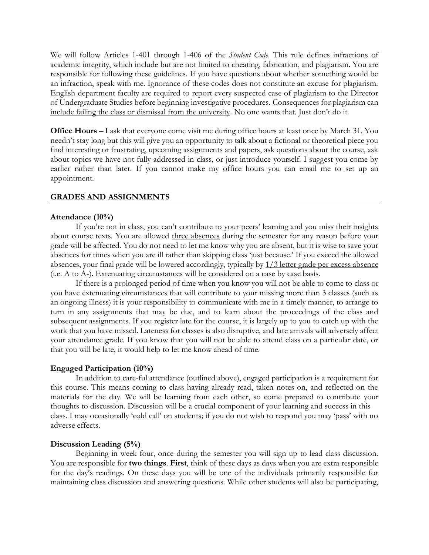We will follow Articles 1-401 through 1-406 of the *Student Code*. This rule defines infractions of academic integrity, which include but are not limited to cheating, fabrication, and plagiarism. You are responsible for following these guidelines. If you have questions about whether something would be an infraction, speak with me. Ignorance of these codes does not constitute an excuse for plagiarism. English department faculty are required to report every suspected case of plagiarism to the Director of Undergraduate Studies before beginning investigative procedures. Consequences for plagiarism can include failing the class or dismissal from the university. No one wants that. Just don't do it.

**Office Hours** – I ask that everyone come visit me during office hours at least once by March 31. You needn't stay long but this will give you an opportunity to talk about a fictional or theoretical piece you find interesting or frustrating, upcoming assignments and papers, ask questions about the course, ask about topics we have not fully addressed in class, or just introduce yourself. I suggest you come by earlier rather than later. If you cannot make my office hours you can email me to set up an appointment.

## **GRADES AND ASSIGNMENTS**

#### **Attendance (10%)**

If you're not in class, you can't contribute to your peers' learning and you miss their insights about course texts. You are allowed three absences during the semester for any reason before your grade will be affected. You do not need to let me know why you are absent, but it is wise to save your absences for times when you are ill rather than skipping class 'just because.' If you exceed the allowed absences, your final grade will be lowered accordingly, typically by 1/3 letter grade per excess absence (i.e. A to A-). Extenuating circumstances will be considered on a case by case basis.

If there is a prolonged period of time when you know you will not be able to come to class or you have extenuating circumstances that will contribute to your missing more than 3 classes (such as an ongoing illness) it is your responsibility to communicate with me in a timely manner, to arrange to turn in any assignments that may be due, and to learn about the proceedings of the class and subsequent assignments. If you register late for the course, it is largely up to you to catch up with the work that you have missed. Lateness for classes is also disruptive, and late arrivals will adversely affect your attendance grade. If you know that you will not be able to attend class on a particular date, or that you will be late, it would help to let me know ahead of time.

#### **Engaged Participation (10%)**

In addition to care-ful attendance (outlined above), engaged participation is a requirement for this course. This means coming to class having already read, taken notes on, and reflected on the materials for the day. We will be learning from each other, so come prepared to contribute your thoughts to discussion. Discussion will be a crucial component of your learning and success in this class. I may occasionally 'cold call' on students; if you do not wish to respond you may 'pass' with no adverse effects.

#### **Discussion Leading (5%)**

Beginning in week four, once during the semester you will sign up to lead class discussion. You are responsible for **two things**. **First**, think of these days as days when you are extra responsible for the day's readings. On these days you will be one of the individuals primarily responsible for maintaining class discussion and answering questions. While other students will also be participating,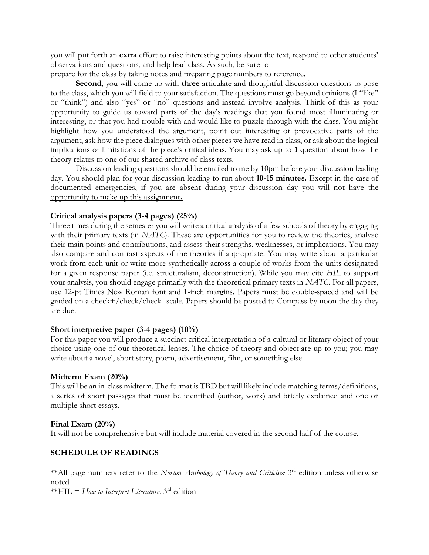you will put forth an **extra** effort to raise interesting points about the text, respond to other students' observations and questions, and help lead class. As such, be sure to

prepare for the class by taking notes and preparing page numbers to reference.

**Second**, you will come up with **three** articulate and thoughtful discussion questions to pose to the class, which you will field to your satisfaction. The questions must go beyond opinions (I "like" or "think") and also "yes" or "no" questions and instead involve analysis. Think of this as your opportunity to guide us toward parts of the day's readings that you found most illuminating or interesting, or that you had trouble with and would like to puzzle through with the class. You might highlight how you understood the argument, point out interesting or provocative parts of the argument, ask how the piece dialogues with other pieces we have read in class, or ask about the logical implications or limitations of the piece's critical ideas. You may ask up to **1** question about how the theory relates to one of our shared archive of class texts.

Discussion leading questions should be emailed to me by 10pm before your discussion leading day. You should plan for your discussion leading to run about **10-15 minutes.** Except in the case of documented emergencies, if you are absent during your discussion day you will not have the opportunity to make up this assignment**.**

## **Critical analysis papers (3-4 pages) (25%)**

Three times during the semester you will write a critical analysis of a few schools of theory by engaging with their primary texts (in *NATC*). These are opportunities for you to review the theories, analyze their main points and contributions, and assess their strengths, weaknesses, or implications. You may also compare and contrast aspects of the theories if appropriate. You may write about a particular work from each unit or write more synthetically across a couple of works from the units designated for a given response paper (i.e. structuralism, deconstruction). While you may cite *HIL* to support your analysis, you should engage primarily with the theoretical primary texts in *NATC.* For all papers, use 12-pt Times New Roman font and 1-inch margins. Papers must be double-spaced and will be graded on a check+/check/check- scale. Papers should be posted to Compass by noon the day they are due.

## **Short interpretive paper (3-4 pages) (10%)**

For this paper you will produce a succinct critical interpretation of a cultural or literary object of your choice using one of our theoretical lenses. The choice of theory and object are up to you; you may write about a novel, short story, poem, advertisement, film, or something else.

## **Midterm Exam (20%)**

This will be an in-class midterm. The format is TBD but will likely include matching terms/definitions, a series of short passages that must be identified (author, work) and briefly explained and one or multiple short essays.

## **Final Exam (20%)**

It will not be comprehensive but will include material covered in the second half of the course.

## **SCHEDULE OF READINGS**

\*\* All page numbers refer to the *Norton Anthology of Theory and Criticism* 3<sup>rd</sup> edition unless otherwise noted

\*\*HIL = *How to Interpret Literature*, 3rd edition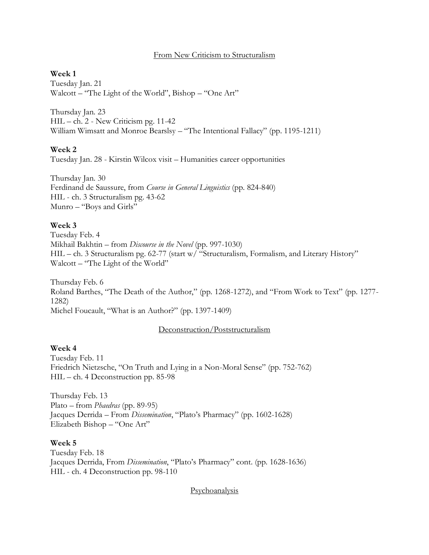## From New Criticism to Structuralism

## **Week 1**

Tuesday Jan. 21 Walcott – "The Light of the World", Bishop – "One Art"

Thursday Jan. 23 HIL – ch. 2 - New Criticism pg. 11-42 William Wimsatt and Monroe Bearslsy – "The Intentional Fallacy" (pp. 1195-1211)

### **Week 2**

Tuesday Jan. 28 - Kirstin Wilcox visit – Humanities career opportunities

Thursday Jan. 30 Ferdinand de Saussure, from *Course in General Linguistics* (pp. 824-840) HIL - ch. 3 Structuralism pg. 43-62 Munro – "Boys and Girls"

### **Week 3**

Tuesday Feb. 4 Mikhail Bakhtin – from *Discourse in the Novel* (pp. 997-1030) HIL – ch. 3 Structuralism pg. 62-77 (start w/ "Structuralism, Formalism, and Literary History" Walcott – "The Light of the World"

Thursday Feb. 6 Roland Barthes, "The Death of the Author," (pp. 1268-1272), and "From Work to Text" (pp. 1277- 1282) Michel Foucault, "What is an Author?" (pp. 1397-1409)

#### Deconstruction/Poststructuralism

## **Week 4**

Tuesday Feb. 11 Friedrich Nietzsche, "On Truth and Lying in a Non-Moral Sense" (pp. 752-762) HIL – ch. 4 Deconstruction pp. 85-98

Thursday Feb. 13 Plato – from *Phaedras* (pp. 89-95) Jacques Derrida – From *Dissemination*, "Plato's Pharmacy" (pp. 1602-1628) Elizabeth Bishop – "One Art"

## **Week 5**

Tuesday Feb. 18 Jacques Derrida, From *Dissemination*, "Plato's Pharmacy" cont. (pp. 1628-1636) HIL - ch. 4 Deconstruction pp. 98-110

Psychoanalysis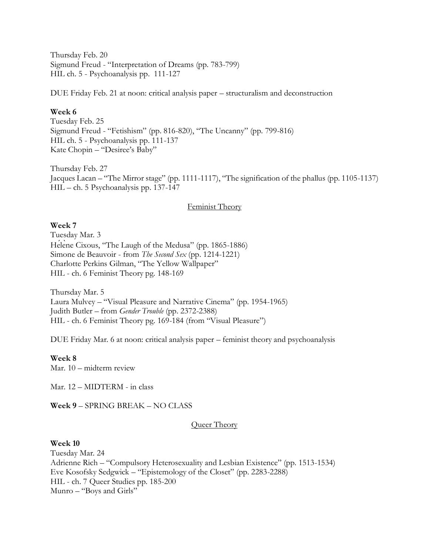Thursday Feb. 20 Sigmund Freud - "Interpretation of Dreams (pp. 783-799) HIL ch. 5 - Psychoanalysis pp. 111-127

DUE Friday Feb. 21 at noon: critical analysis paper – structuralism and deconstruction

## **Week 6**

Tuesday Feb. 25 Sigmund Freud - "Fetishism" (pp. 816-820), "The Uncanny" (pp. 799-816) HIL ch. 5 - Psychoanalysis pp. 111-137 Kate Chopin – "Desiree's Baby"

Thursday Feb. 27 Jacques Lacan – "The Mirror stage" (pp. 1111-1117), "The signification of the phallus (pp. 1105-1137) HIL – ch. 5 Psychoanalysis pp. 137-147

## Feminist Theory

## **Week 7**

Tuesday Mar. 3 Helene Cixous, "The Laugh of the Medusa" (pp. 1865-1886) Simone de Beauvoir - from *The Second Sex* (pp. 1214-1221) Charlotte Perkins Gilman, "The Yellow Wallpaper" HIL - ch. 6 Feminist Theory pg. 148-169

Thursday Mar. 5 Laura Mulvey – "Visual Pleasure and Narrative Cinema" (pp. 1954-1965) Judith Butler – from *Gender Trouble* (pp. 2372-2388) HIL - ch. 6 Feminist Theory pg. 169-184 (from "Visual Pleasure")

DUE Friday Mar. 6 at noon: critical analysis paper – feminist theory and psychoanalysis

## **Week 8**

Mar. 10 – midterm review

Mar. 12 – MIDTERM - in class

**Week 9** – SPRING BREAK – NO CLASS

## Queer Theory

## **Week 10**

Tuesday Mar. 24 Adrienne Rich – "Compulsory Heterosexuality and Lesbian Existence" (pp. 1513-1534) Eve Kosofsky Sedgwick – "Epistemology of the Closet" (pp. 2283-2288) HIL - ch. 7 Queer Studies pp. 185-200 Munro – "Boys and Girls"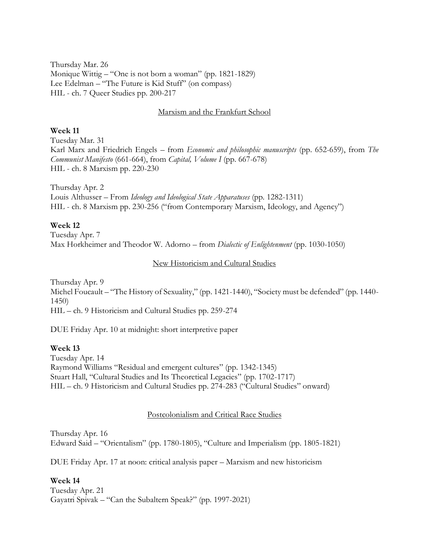Thursday Mar. 26 Monique Wittig – "One is not born a woman" (pp. 1821-1829) Lee Edelman – "The Future is Kid Stuff" (on compass) HIL - ch. 7 Queer Studies pp. 200-217

### Marxism and the Frankfurt School

## **Week 11**

Tuesday Mar. 31 Karl Marx and Friedrich Engels – from *Economic and philosophic manuscripts* (pp. 652-659), from *The Communist Manifesto* (661-664), from *Capital, Volume I* (pp. 667-678) HIL - ch. 8 Marxism pp. 220-230

Thursday Apr. 2 Louis Althusser – From *Ideology and Ideological State Apparatuses* (pp. 1282-1311) HIL - ch. 8 Marxism pp. 230-256 ("from Contemporary Marxism, Ideology, and Agency")

### **Week 12**

Tuesday Apr. 7 Max Horkheimer and Theodor W. Adorno – from *Dialectic of Enlightenment* (pp. 1030-1050)

## New Historicism and Cultural Studies

Thursday Apr. 9 Michel Foucault – "The History of Sexuality," (pp. 1421-1440), "Society must be defended" (pp. 1440- 1450) HIL – ch. 9 Historicism and Cultural Studies pp. 259-274

DUE Friday Apr. 10 at midnight: short interpretive paper

## **Week 13**

Tuesday Apr. 14 Raymond Williams "Residual and emergent cultures" (pp. 1342-1345) Stuart Hall, "Cultural Studies and Its Theoretical Legacies" (pp. 1702-1717) HIL – ch. 9 Historicism and Cultural Studies pp. 274-283 ("Cultural Studies" onward)

#### Postcolonialism and Critical Race Studies

Thursday Apr. 16 Edward Said – "Orientalism" (pp. 1780-1805), "Culture and Imperialism (pp. 1805-1821)

DUE Friday Apr. 17 at noon: critical analysis paper – Marxism and new historicism

#### **Week 14**

Tuesday Apr. 21 Gayatri Spivak – "Can the Subaltern Speak?" (pp. 1997-2021)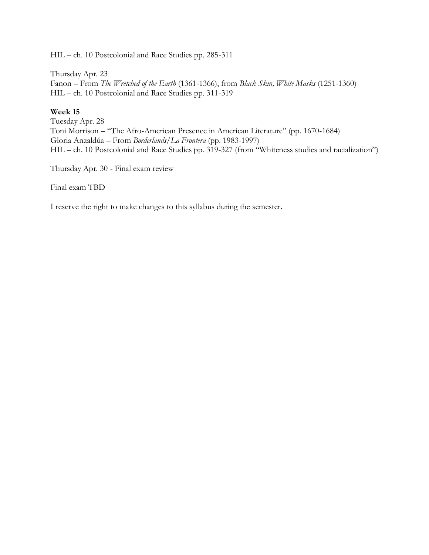HIL – ch. 10 Postcolonial and Race Studies pp. 285-311

Thursday Apr. 23 Fanon – From *The Wretched of the Earth* (1361-1366), from *Black Skin, White Masks* (1251-1360) HIL – ch. 10 Postcolonial and Race Studies pp. 311-319

## **Week 15**

Tuesday Apr. 28 Toni Morrison – "The Afro-American Presence in American Literature" (pp. 1670-1684) Gloria Anzaldúa – From *Borderlands/La Frontera* (pp. 1983-1997) HIL – ch. 10 Postcolonial and Race Studies pp. 319-327 (from "Whiteness studies and racialization")

Thursday Apr. 30 - Final exam review

Final exam TBD

I reserve the right to make changes to this syllabus during the semester.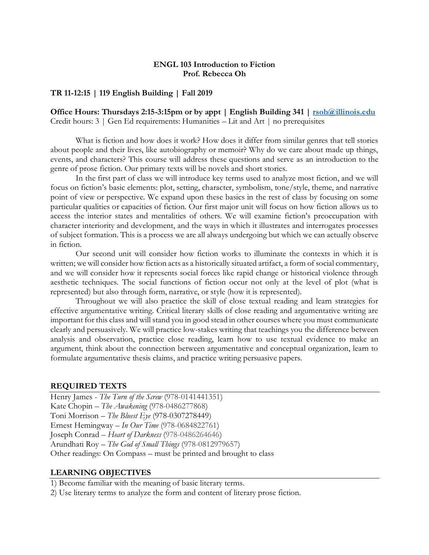## **ENGL 103 Introduction to Fiction Prof. Rebecca Oh**

## **TR 11-12:15 | 119 English Building | Fall 2019**

**Office Hours: Thursdays 2:15-3:15pm or by appt | English Building 341 | [rsoh@illinois.edu](mailto:rsoh@illinois.edu)** Credit hours: 3 | Gen Ed requirements: Humanities – Lit and Art | no prerequisites

What is fiction and how does it work? How does it differ from similar genres that tell stories about people and their lives, like autobiography or memoir? Why do we care about made up things, events, and characters? This course will address these questions and serve as an introduction to the genre of prose fiction. Our primary texts will be novels and short stories.

In the first part of class we will introduce key terms used to analyze most fiction, and we will focus on fiction's basic elements: plot, setting, character, symbolism, tone/style, theme, and narrative point of view or perspective. We expand upon these basics in the rest of class by focusing on some particular qualities or capacities of fiction. Our first major unit will focus on how fiction allows us to access the interior states and mentalities of others. We will examine fiction's preoccupation with character interiority and development, and the ways in which it illustrates and interrogates processes of subject formation. This is a process we are all always undergoing but which we can actually observe in fiction.

Our second unit will consider how fiction works to illuminate the contexts in which it is written; we will consider how fiction acts as a historically situated artifact, a form of social commentary, and we will consider how it represents social forces like rapid change or historical violence through aesthetic techniques. The social functions of fiction occur not only at the level of plot (what is represented) but also through form, narrative, or style (how it is represented).

Throughout we will also practice the skill of close textual reading and learn strategies for effective argumentative writing. Critical literary skills of close reading and argumentative writing are important for this class and will stand you in good stead in other courses where you must communicate clearly and persuasively. We will practice low-stakes writing that teachings you the difference between analysis and observation, practice close reading, learn how to use textual evidence to make an argument, think about the connection between argumentative and conceptual organization, learn to formulate argumentative thesis claims, and practice writing persuasive papers.

## **REQUIRED TEXTS**

Henry James - *The Turn of the Screw* (978-0141441351) Kate Chopin – *The Awakening* (978-0486277868) Toni Morrison – *The Bluest Eye* (978-0307278449) Ernest Hemingway – *In Our Time* (978-0684822761) Joseph Conrad – *Heart of Darkness* (978-0486264646) Arundhati Roy – *The God of Small Things* (978-0812979657) Other readings: On Compass – must be printed and brought to class

#### **LEARNING OBJECTIVES**

1) Become familiar with the meaning of basic literary terms.

2) Use literary terms to analyze the form and content of literary prose fiction.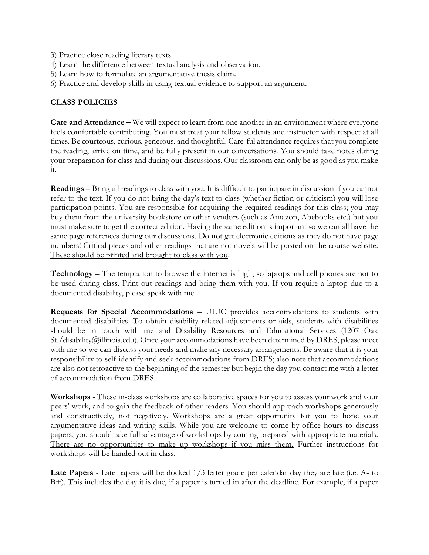- 3) Practice close reading literary texts.
- 4) Learn the difference between textual analysis and observation.
- 5) Learn how to formulate an argumentative thesis claim.
- 6) Practice and develop skills in using textual evidence to support an argument.

## **CLASS POLICIES**

**Care and Attendance –** We will expect to learn from one another in an environment where everyone feels comfortable contributing. You must treat your fellow students and instructor with respect at all times. Be courteous, curious, generous, and thoughtful. Care-ful attendance requires that you complete the reading, arrive on time, and be fully present in our conversations. You should take notes during your preparation for class and during our discussions. Our classroom can only be as good as you make it.

**Readings** – Bring all readings to class with you. It is difficult to participate in discussion if you cannot refer to the text. If you do not bring the day's text to class (whether fiction or criticism) you will lose participation points. You are responsible for acquiring the required readings for this class; you may buy them from the university bookstore or other vendors (such as Amazon, Abebooks etc.) but you must make sure to get the correct edition. Having the same edition is important so we can all have the same page references during our discussions. Do not get electronic editions as they do not have page numbers! Critical pieces and other readings that are not novels will be posted on the course website. These should be printed and brought to class with you.

**Technology** – The temptation to browse the internet is high, so laptops and cell phones are not to be used during class. Print out readings and bring them with you. If you require a laptop due to a documented disability, please speak with me.

**Requests for Special Accommodations** – UIUC provides accommodations to students with documented disabilities. To obtain disability-related adjustments or aids, students with disabilities should be in touch with me and Disability Resources and Educational Services (1207 Oak St./disability@illinois.edu). Once your accommodations have been determined by DRES, please meet with me so we can discuss your needs and make any necessary arrangements. Be aware that it is your responsibility to self-identify and seek accommodations from DRES; also note that accommodations are also not retroactive to the beginning of the semester but begin the day you contact me with a letter of accommodation from DRES.

**Workshops** - These in-class workshops are collaborative spaces for you to assess your work and your peers' work, and to gain the feedback of other readers. You should approach workshops generously and constructively, not negatively. Workshops are a great opportunity for you to hone your argumentative ideas and writing skills. While you are welcome to come by office hours to discuss papers, you should take full advantage of workshops by coming prepared with appropriate materials. There are no opportunities to make up workshops if you miss them. Further instructions for workshops will be handed out in class.

**Late Papers** - Late papers will be docked  $\frac{1}{3}$  letter grade per calendar day they are late (i.e. A- to B+). This includes the day it is due, if a paper is turned in after the deadline. For example, if a paper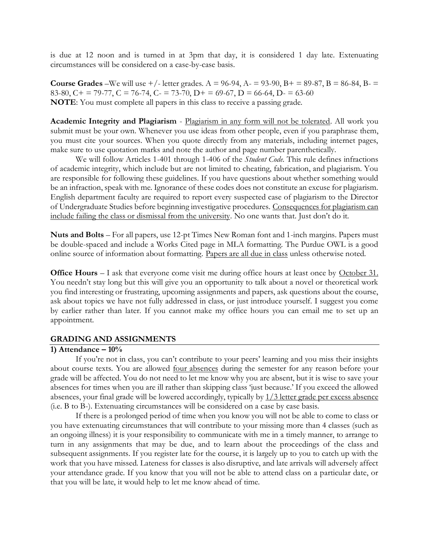is due at 12 noon and is turned in at 3pm that day, it is considered 1 day late. Extenuating circumstances will be considered on a case-by-case basis.

**Course Grades** –We will use  $+/-$  letter grades. A = 96-94, A $-$  = 93-90, B $+$  = 89-87, B = 86-84, B $-$ 83-80, C + = 79-77, C = 76-74, C - = 73-70, D + = 69-67, D = 66-64, D - = 63-60 **NOTE**: You must complete all papers in this class to receive a passing grade.

**Academic Integrity and Plagiarism** - Plagiarism in any form will not be tolerated. All work you submit must be your own. Whenever you use ideas from other people, even if you paraphrase them, you must cite your sources. When you quote directly from any materials, including internet pages, make sure to use quotation marks and note the author and page number parenthetically.

We will follow Articles 1-401 through 1-406 of the *Student Code*. This rule defines infractions of academic integrity, which include but are not limited to cheating, fabrication, and plagiarism. You are responsible for following these guidelines. If you have questions about whether something would be an infraction, speak with me. Ignorance of these codes does not constitute an excuse for plagiarism. English department faculty are required to report every suspected case of plagiarism to the Director of Undergraduate Studies before beginning investigative procedures. Consequences for plagiarism can include failing the class or dismissal from the university. No one wants that. Just don't do it.

**Nuts and Bolts** – For all papers, use 12-pt Times New Roman font and 1-inch margins. Papers must be double-spaced and include a Works Cited page in MLA formatting. The Purdue OWL is a good online source of information about formatting. Papers are all due in class unless otherwise noted.

**Office Hours** – I ask that everyone come visit me during office hours at least once by October 31. You needn't stay long but this will give you an opportunity to talk about a novel or theoretical work you find interesting or frustrating, upcoming assignments and papers, ask questions about the course, ask about topics we have not fully addressed in class, or just introduce yourself. I suggest you come by earlier rather than later. If you cannot make my office hours you can email me to set up an appointment.

## **GRADING AND ASSIGNMENTS**

## **1) Attendance – 10%**

If you're not in class, you can't contribute to your peers' learning and you miss their insights about course texts. You are allowed four absences during the semester for any reason before your grade will be affected. You do not need to let me know why you are absent, but it is wise to save your absences for times when you are ill rather than skipping class 'just because.' If you exceed the allowed absences, your final grade will be lowered accordingly, typically by 1/3 letter grade per excess absence (i.e. B to B-). Extenuating circumstances will be considered on a case by case basis.

If there is a prolonged period of time when you know you will not be able to come to class or you have extenuating circumstances that will contribute to your missing more than 4 classes (such as an ongoing illness) it is your responsibility to communicate with me in a timely manner, to arrange to turn in any assignments that may be due, and to learn about the proceedings of the class and subsequent assignments. If you register late for the course, it is largely up to you to catch up with the work that you have missed. Lateness for classes is also disruptive, and late arrivals will adversely affect your attendance grade. If you know that you will not be able to attend class on a particular date, or that you will be late, it would help to let me know ahead of time.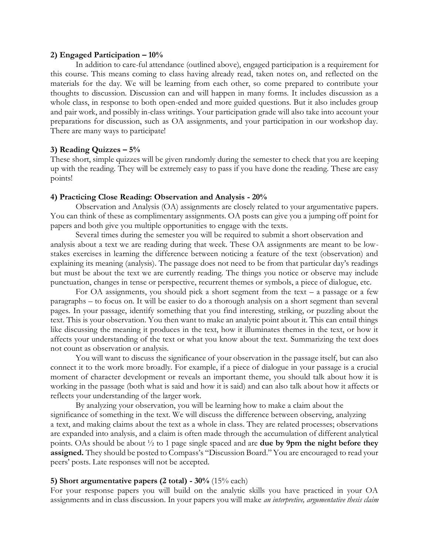### **2) Engaged Participation – 10%**

In addition to care-ful attendance (outlined above), engaged participation is a requirement for this course. This means coming to class having already read, taken notes on, and reflected on the materials for the day. We will be learning from each other, so come prepared to contribute your thoughts to discussion. Discussion can and will happen in many forms. It includes discussion as a whole class, in response to both open-ended and more guided questions. But it also includes group and pair work, and possibly in-class writings. Your participation grade will also take into account your preparations for discussion, such as OA assignments, and your participation in our workshop day. There are many ways to participate!

## **3) Reading Quizzes – 5%**

These short, simple quizzes will be given randomly during the semester to check that you are keeping up with the reading. They will be extremely easy to pass if you have done the reading. These are easy points!

## **4) Practicing Close Reading: Observation and Analysis - 20%**

Observation and Analysis (OA) assignments are closely related to your argumentative papers. You can think of these as complimentary assignments. OA posts can give you a jumping off point for papers and both give you multiple opportunities to engage with the texts.

Several times during the semester you will be required to submit a short observation and analysis about a text we are reading during that week. These OA assignments are meant to be lowstakes exercises in learning the difference between noticing a feature of the text (observation) and explaining its meaning (analysis). The passage does not need to be from that particular day's readings but must be about the text we are currently reading. The things you notice or observe may include punctuation, changes in tense or perspective, recurrent themes or symbols, a piece of dialogue, etc.

For OA assignments, you should pick a short segment from the text  $-$  a passage or a few paragraphs – to focus on. It will be easier to do a thorough analysis on a short segment than several pages. In your passage, identify something that you find interesting, striking, or puzzling about the text. This is your observation. You then want to make an analytic point about it. This can entail things like discussing the meaning it produces in the text, how it illuminates themes in the text, or how it affects your understanding of the text or what you know about the text. Summarizing the text does not count as observation or analysis.

You will want to discuss the significance of your observation in the passage itself, but can also connect it to the work more broadly. For example, if a piece of dialogue in your passage is a crucial moment of character development or reveals an important theme, you should talk about how it is working in the passage (both what is said and how it is said) and can also talk about how it affects or reflects your understanding of the larger work.

By analyzing your observation, you will be learning how to make a claim about the significance of something in the text. We will discuss the difference between observing, analyzing a text, and making claims about the text as a whole in class. They are related processes; observations are expanded into analysis, and a claim is often made through the accumulation of different analytical points. OAs should be about ½ to 1 page single spaced and are **due by 9pm the night before they assigned.** They should be posted to Compass's "Discussion Board." You are encouraged to read your peers' posts. Late responses will not be accepted.

## **5) Short argumentative papers (2 total) - 30%** (15% each)

For your response papers you will build on the analytic skills you have practiced in your OA assignments and in class discussion. In your papers you will make *an interpretive, argumentative thesis claim*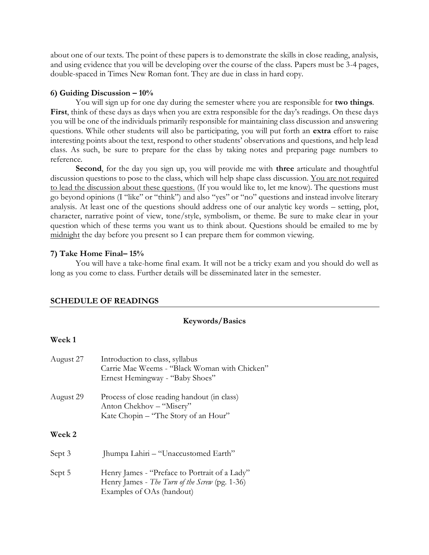about one of our texts. The point of these papers is to demonstrate the skills in close reading, analysis, and using evidence that you will be developing over the course of the class. Papers must be 3-4 pages, double-spaced in Times New Roman font. They are due in class in hard copy.

## **6) Guiding Discussion – 10%**

You will sign up for one day during the semester where you are responsible for **two things**. **First**, think of these days as days when you are extra responsible for the day's readings. On these days you will be one of the individuals primarily responsible for maintaining class discussion and answering questions. While other students will also be participating, you will put forth an **extra** effort to raise interesting points about the text, respond to other students' observations and questions, and help lead class. As such, be sure to prepare for the class by taking notes and preparing page numbers to reference.

**Second**, for the day you sign up, you will provide me with **three** articulate and thoughtful discussion questions to pose to the class, which will help shape class discussion. You are not required to lead the discussion about these questions. (If you would like to, let me know). The questions must go beyond opinions (I "like" or "think") and also "yes" or "no" questions and instead involve literary analysis. At least one of the questions should address one of our analytic key words – setting, plot, character, narrative point of view, tone/style, symbolism, or theme. Be sure to make clear in your question which of these terms you want us to think about. Questions should be emailed to me by midnight the day before you present so I can prepare them for common viewing.

## **7) Take Home Final– 15%**

You will have a take-home final exam. It will not be a tricky exam and you should do well as long as you come to class. Further details will be disseminated later in the semester.

## **SCHEDULE OF READINGS**

## **Keywords/Basics**

## **Week 1**

| August 27     | Introduction to class, syllabus<br>Carrie Mae Weems - "Black Woman with Chicken"<br>Ernest Hemingway - "Baby Shoes"          |
|---------------|------------------------------------------------------------------------------------------------------------------------------|
| August 29     | Process of close reading handout (in class)<br>Anton Chekhov – "Misery"<br>Kate Chopin – "The Story of an Hour"              |
| <b>Week 2</b> |                                                                                                                              |
| Sept 3        | Jhumpa Lahiri – "Unaccustomed Earth"                                                                                         |
| Sept 5        | Henry James - "Preface to Portrait of a Lady"<br>Henry James - The Turn of the Screw (pg. 1-36)<br>Examples of OAs (handout) |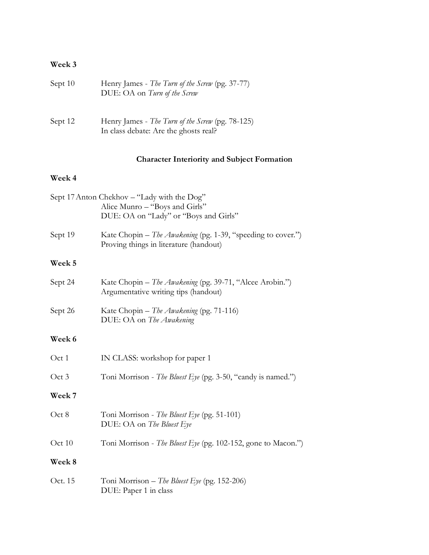# **Week 3**

| Sept 10 | Henry James - The Turn of the Screw (pg. 37-77)<br>DUE: OA on Turn of the Screw           |
|---------|-------------------------------------------------------------------------------------------|
| Sept 12 | Henry James - The Turn of the Screw (pg. 78-125)<br>In class debate: Are the ghosts real? |

# **Character Interiority and Subject Formation**

# **Week 4**

|         | Sept 17 Anton Chekhov – "Lady with the Dog"<br>Alice Munro – "Boys and Girls"<br>DUE: OA on "Lady" or "Boys and Girls" |  |
|---------|------------------------------------------------------------------------------------------------------------------------|--|
| Sept 19 | Kate Chopin - The Awakening (pg. 1-39, "speeding to cover.")<br>Proving things in literature (handout)                 |  |
| Week 5  |                                                                                                                        |  |
| Sept 24 | Kate Chopin – The Awakening (pg. 39-71, "Alcee Arobin.")<br>Argumentative writing tips (handout)                       |  |
| Sept 26 | Kate Chopin – The Awakening (pg. 71-116)<br>DUE: OA on The Awakening                                                   |  |
| Week 6  |                                                                                                                        |  |
| Oct 1   | IN CLASS: workshop for paper 1                                                                                         |  |
| Oct 3   | Toni Morrison - The Bluest Eye (pg. 3-50, "candy is named.")                                                           |  |
| Week 7  |                                                                                                                        |  |
| Oct 8   | Toni Morrison - The Bluest Eye (pg. 51-101)<br>DUE: OA on The Bluest Eye                                               |  |
| Oct 10  | Toni Morrison - The Bluest Eye (pg. 102-152, gone to Macon.")                                                          |  |
| Week 8  |                                                                                                                        |  |
| Oct. 15 | Toni Morrison – The Bluest Eye (pg. 152-206)<br>DUE: Paper 1 in class                                                  |  |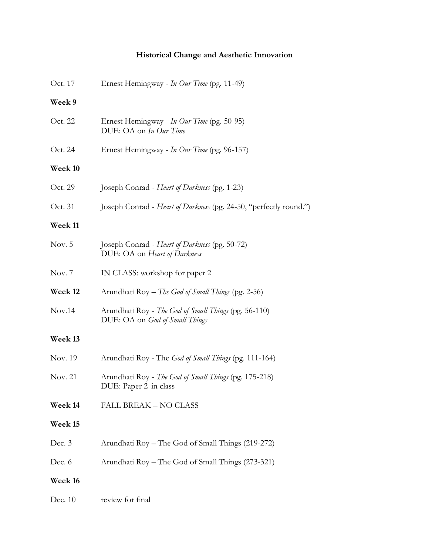# **Historical Change and Aesthetic Innovation**

| Oct. 17 | Ernest Hemingway - In Our Time (pg. 11-49)                                             |  |
|---------|----------------------------------------------------------------------------------------|--|
| Week 9  |                                                                                        |  |
| Oct. 22 | Ernest Hemingway - In Our Time (pg. 50-95)<br>DUE: OA on In Our Time                   |  |
| Oct. 24 | Ernest Hemingway - In Our Time (pg. 96-157)                                            |  |
| Week 10 |                                                                                        |  |
| Oct. 29 | Joseph Conrad - Heart of Darkness (pg. 1-23)                                           |  |
| Oct. 31 | Joseph Conrad - Heart of Darkness (pg. 24-50, "perfectly round.")                      |  |
| Week 11 |                                                                                        |  |
| Nov. 5  | Joseph Conrad - Heart of Darkness (pg. 50-72)<br>DUE: OA on Heart of Darkness          |  |
| Nov. 7  | IN CLASS: workshop for paper 2                                                         |  |
| Week 12 | Arundhati Roy - The God of Small Things (pg. 2-56)                                     |  |
| Nov.14  | Arundhati Roy - The God of Small Things (pg. 56-110)<br>DUE: OA on God of Small Things |  |
| Week 13 |                                                                                        |  |
| Nov. 19 | Arundhati Roy - The <i>God of Small Things</i> (pg. 111-164)                           |  |
| Nov. 21 | Arundhati Roy - The God of Small Things (pg. 175-218)<br>DUE: Paper 2 in class         |  |
| Week 14 | FALL BREAK - NO CLASS                                                                  |  |
| Week 15 |                                                                                        |  |
| Dec. 3  | Arundhati Roy - The God of Small Things (219-272)                                      |  |
| Dec. 6  | Arundhati Roy – The God of Small Things (273-321)                                      |  |
| Week 16 |                                                                                        |  |
| Dec. 10 | review for final                                                                       |  |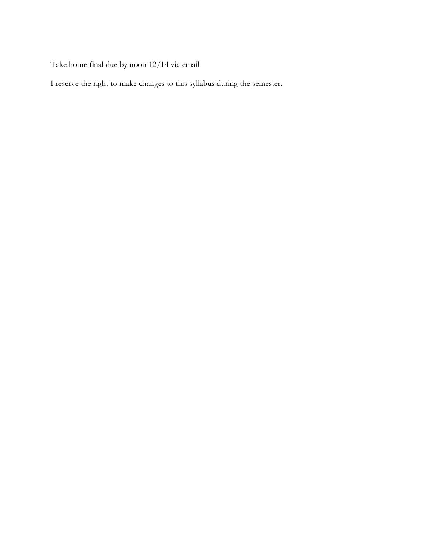Take home final due by noon 12/14 via email

I reserve the right to make changes to this syllabus during the semester.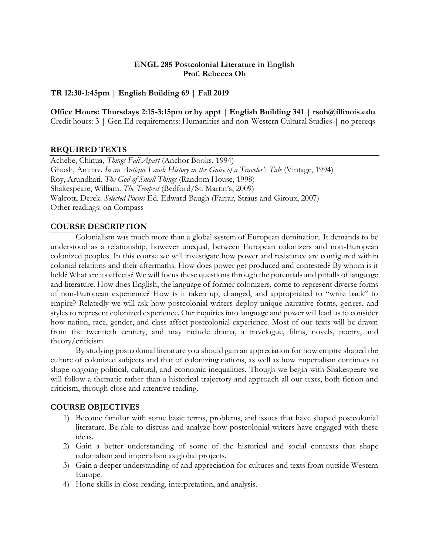## **ENGL 285 Postcolonial Literature in English Prof. Rebecca Oh**

## **TR 12:30-1:45pm | English Building 69 | Fall 2019**

**Office Hours: Thursdays 2:15-3:15pm or by appt | English Building 341 | rsoh@illinois.edu** Credit hours: 3 | Gen Ed requirements: Humanities and non-Western Cultural Studies | no prereqs

## **REQUIRED TEXTS**

Achebe, Chinua, *Things Fall Apart* (Anchor Books, 1994) Ghosh, Amitav. *In an Antique Land: History in the Guise of a Traveler's Tale* (Vintage, 1994) Roy, Arundhati. *The God of Small Things* (Random House, 1998) Shakespeare, William. *The Tempest* (Bedford/St. Martin's, 2009) Walcott, Derek. *Selected Poems* Ed. Edward Baugh (Farrar, Straus and Giroux, 2007) Other readings: on Compass

## **COURSE DESCRIPTION**

Colonialism was much more than a global system of European domination. It demands to be understood as a relationship, however unequal, between European colonizers and non-European colonized peoples. In this course we will investigate how power and resistance are configured within colonial relations and their aftermaths. How does power get produced and contested? By whom is it held? What are its effects? We will focus these questions through the potentials and pitfalls of language and literature. How does English, the language of former colonizers, come to represent diverse forms of non-European experience? How is it taken up, changed, and appropriated to "write back" to empire? Relatedly we will ask how postcolonial writers deploy unique narrative forms, genres, and styles to represent colonized experience. Our inquiries into language and power will lead us to consider how nation, race, gender, and class affect postcolonial experience. Most of our texts will be drawn from the twentieth century, and may include drama, a travelogue, films, novels, poetry, and theory/criticism.

By studying postcolonial literature you should gain an appreciation for how empire shaped the culture of colonized subjects and that of colonizing nations, as well as how imperialism continues to shape ongoing political, cultural, and economic inequalities. Though we begin with Shakespeare we will follow a thematic rather than a historical trajectory and approach all our texts, both fiction and criticism, through close and attentive reading.

## **COURSE OBJECTIVES**

- 1) Become familiar with some basic terms, problems, and issues that have shaped postcolonial literature. Be able to discuss and analyze how postcolonial writers have engaged with these ideas.
- 2) Gain a better understanding of some of the historical and social contexts that shape colonialism and imperialism as global projects.
- 3) Gain a deeper understanding of and appreciation for cultures and texts from outside Western Europe.
- 4) Hone skills in close reading, interpretation, and analysis.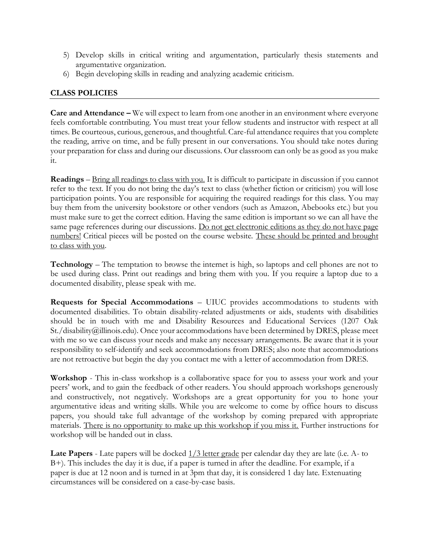- 5) Develop skills in critical writing and argumentation, particularly thesis statements and argumentative organization.
- 6) Begin developing skills in reading and analyzing academic criticism.

## **CLASS POLICIES**

**Care and Attendance –** We will expect to learn from one another in an environment where everyone feels comfortable contributing. You must treat your fellow students and instructor with respect at all times. Be courteous, curious, generous, and thoughtful. Care-ful attendance requires that you complete the reading, arrive on time, and be fully present in our conversations. You should take notes during your preparation for class and during our discussions. Our classroom can only be as good as you make it.

**Readings** – Bring all readings to class with you. It is difficult to participate in discussion if you cannot refer to the text. If you do not bring the day's text to class (whether fiction or criticism) you will lose participation points. You are responsible for acquiring the required readings for this class. You may buy them from the university bookstore or other vendors (such as Amazon, Abebooks etc.) but you must make sure to get the correct edition. Having the same edition is important so we can all have the same page references during our discussions. Do not get electronic editions as they do not have page numbers! Critical pieces will be posted on the course website. These should be printed and brought to class with you.

**Technology** – The temptation to browse the internet is high, so laptops and cell phones are not to be used during class. Print out readings and bring them with you. If you require a laptop due to a documented disability, please speak with me.

**Requests for Special Accommodations** – UIUC provides accommodations to students with documented disabilities. To obtain disability-related adjustments or aids, students with disabilities should be in touch with me and Disability Resources and Educational Services (1207 Oak St./disability@illinois.edu). Once your accommodations have been determined by DRES, please meet with me so we can discuss your needs and make any necessary arrangements. Be aware that it is your responsibility to self-identify and seek accommodations from DRES; also note that accommodations are not retroactive but begin the day you contact me with a letter of accommodation from DRES.

**Workshop** - This in-class workshop is a collaborative space for you to assess your work and your peers' work, and to gain the feedback of other readers. You should approach workshops generously and constructively, not negatively. Workshops are a great opportunity for you to hone your argumentative ideas and writing skills. While you are welcome to come by office hours to discuss papers, you should take full advantage of the workshop by coming prepared with appropriate materials. There is no opportunity to make up this workshop if you miss it. Further instructions for workshop will be handed out in class.

**Late Papers** - Late papers will be docked  $1/3$  letter grade per calendar day they are late (i.e. A- to B+). This includes the day it is due, if a paper is turned in after the deadline. For example, if a paper is due at 12 noon and is turned in at 3pm that day, it is considered 1 day late. Extenuating circumstances will be considered on a case-by-case basis.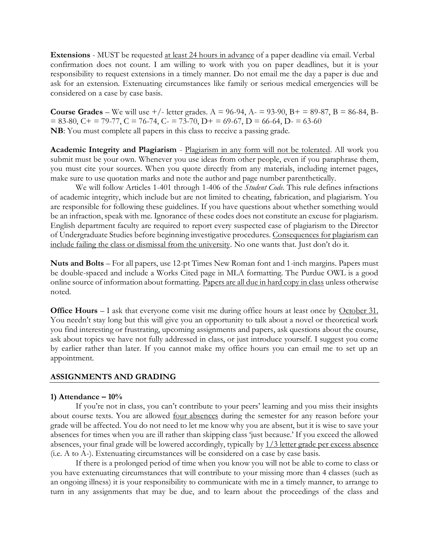**Extensions** - MUST be requested at least 24 hours in advance of a paper deadline via email. Verbal confirmation does not count. I am willing to work with you on paper deadlines, but it is your responsibility to request extensions in a timely manner. Do not email me the day a paper is due and ask for an extension. Extenuating circumstances like family or serious medical emergencies will be considered on a case by case basis.

**Course Grades** – We will use  $+/-$  letter grades. A = 96-94, A- = 93-90, B+ = 89-87, B = 86-84, B- $= 83-80$ ,  $C + 79-77$ ,  $C = 76-74$ ,  $C - 73-70$ ,  $D + 69-67$ ,  $D = 66-64$ ,  $D - 63-60$ **NB**: You must complete all papers in this class to receive a passing grade.

**Academic Integrity and Plagiarism** - Plagiarism in any form will not be tolerated. All work you submit must be your own. Whenever you use ideas from other people, even if you paraphrase them, you must cite your sources. When you quote directly from any materials, including internet pages, make sure to use quotation marks and note the author and page number parenthetically.

We will follow Articles 1-401 through 1-406 of the *Student Code*. This rule defines infractions of academic integrity, which include but are not limited to cheating, fabrication, and plagiarism. You are responsible for following these guidelines. If you have questions about whether something would be an infraction, speak with me. Ignorance of these codes does not constitute an excuse for plagiarism. English department faculty are required to report every suspected case of plagiarism to the Director of Undergraduate Studies before beginning investigative procedures. Consequences for plagiarism can include failing the class or dismissal from the university. No one wants that. Just don't do it.

**Nuts and Bolts** – For all papers, use 12-pt Times New Roman font and 1-inch margins. Papers must be double-spaced and include a Works Cited page in MLA formatting. The Purdue OWL is a good online source of information about formatting. Papers are all due in hard copy in class unless otherwise noted.

**Office Hours** – I ask that everyone come visit me during office hours at least once by October 31. You needn't stay long but this will give you an opportunity to talk about a novel or theoretical work you find interesting or frustrating, upcoming assignments and papers, ask questions about the course, ask about topics we have not fully addressed in class, or just introduce yourself. I suggest you come by earlier rather than later. If you cannot make my office hours you can email me to set up an appointment.

## **ASSIGNMENTS AND GRADING**

#### **1) Attendance – 10%**

If you're not in class, you can't contribute to your peers' learning and you miss their insights about course texts. You are allowed four absences during the semester for any reason before your grade will be affected. You do not need to let me know why you are absent, but it is wise to save your absences for times when you are ill rather than skipping class 'just because.' If you exceed the allowed absences, your final grade will be lowered accordingly, typically by 1/3 letter grade per excess absence (i.e. A to A-). Extenuating circumstances will be considered on a case by case basis.

If there is a prolonged period of time when you know you will not be able to come to class or you have extenuating circumstances that will contribute to your missing more than 4 classes (such as an ongoing illness) it is your responsibility to communicate with me in a timely manner, to arrange to turn in any assignments that may be due, and to learn about the proceedings of the class and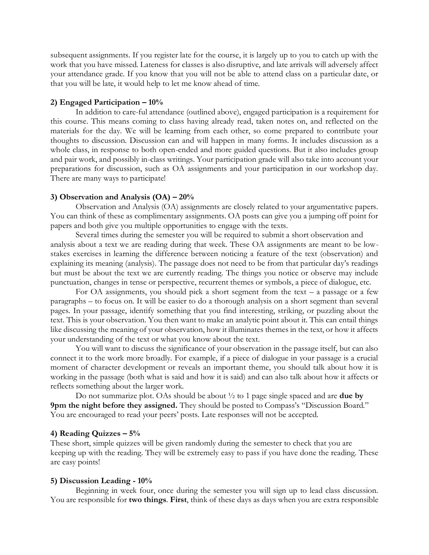subsequent assignments. If you register late for the course, it is largely up to you to catch up with the work that you have missed. Lateness for classes is also disruptive, and late arrivals will adversely affect your attendance grade. If you know that you will not be able to attend class on a particular date, or that you will be late, it would help to let me know ahead of time.

### **2) Engaged Participation – 10%**

In addition to care-ful attendance (outlined above), engaged participation is a requirement for this course. This means coming to class having already read, taken notes on, and reflected on the materials for the day. We will be learning from each other, so come prepared to contribute your thoughts to discussion. Discussion can and will happen in many forms. It includes discussion as a whole class, in response to both open-ended and more guided questions. But it also includes group and pair work, and possibly in-class writings. Your participation grade will also take into account your preparations for discussion, such as OA assignments and your participation in our workshop day. There are many ways to participate!

### **3) Observation and Analysis (OA) – 20%**

Observation and Analysis (OA) assignments are closely related to your argumentative papers. You can think of these as complimentary assignments. OA posts can give you a jumping off point for papers and both give you multiple opportunities to engage with the texts.

Several times during the semester you will be required to submit a short observation and analysis about a text we are reading during that week. These OA assignments are meant to be lowstakes exercises in learning the difference between noticing a feature of the text (observation) and explaining its meaning (analysis). The passage does not need to be from that particular day's readings but must be about the text we are currently reading. The things you notice or observe may include punctuation, changes in tense or perspective, recurrent themes or symbols, a piece of dialogue, etc.

For OA assignments, you should pick a short segment from the text  $-$  a passage or a few paragraphs – to focus on. It will be easier to do a thorough analysis on a short segment than several pages. In your passage, identify something that you find interesting, striking, or puzzling about the text. This is your observation. You then want to make an analytic point about it. This can entail things like discussing the meaning of your observation, how it illuminates themes in the text, or how it affects your understanding of the text or what you know about the text.

You will want to discuss the significance of your observation in the passage itself, but can also connect it to the work more broadly. For example, if a piece of dialogue in your passage is a crucial moment of character development or reveals an important theme, you should talk about how it is working in the passage (both what is said and how it is said) and can also talk about how it affects or reflects something about the larger work.

Do not summarize plot. OAs should be about ½ to 1 page single spaced and are **due by 9pm the night before they assigned.** They should be posted to Compass's "Discussion Board." You are encouraged to read your peers' posts. Late responses will not be accepted.

#### **4) Reading Quizzes – 5%**

These short, simple quizzes will be given randomly during the semester to check that you are keeping up with the reading. They will be extremely easy to pass if you have done the reading. These are easy points!

## **5) Discussion Leading - 10%**

Beginning in week four, once during the semester you will sign up to lead class discussion. You are responsible for **two things**. **First**, think of these days as days when you are extra responsible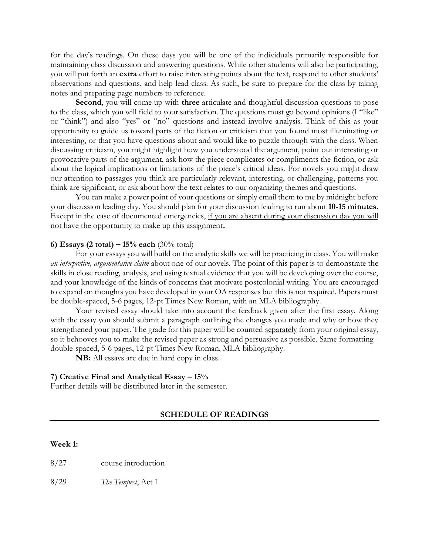for the day's readings. On these days you will be one of the individuals primarily responsible for maintaining class discussion and answering questions. While other students will also be participating, you will put forth an **extra** effort to raise interesting points about the text, respond to other students' observations and questions, and help lead class. As such, be sure to prepare for the class by taking notes and preparing page numbers to reference.

**Second**, you will come up with **three** articulate and thoughtful discussion questions to pose to the class, which you will field to your satisfaction. The questions must go beyond opinions (I "like" or "think") and also "yes" or "no" questions and instead involve analysis. Think of this as your opportunity to guide us toward parts of the fiction or criticism that you found most illuminating or interesting, or that you have questions about and would like to puzzle through with the class. When discussing criticism, you might highlight how you understood the argument, point out interesting or provocative parts of the argument, ask how the piece complicates or compliments the fiction, or ask about the logical implications or limitations of the piece's critical ideas. For novels you might draw our attention to passages you think are particularly relevant, interesting, or challenging, patterns you think are significant, or ask about how the text relates to our organizing themes and questions.

You can make a power point of your questions or simply email them to me by midnight before your discussion leading day. You should plan for your discussion leading to run about **10-15 minutes.**  Except in the case of documented emergencies, if you are absent during your discussion day you will not have the opportunity to make up this assignment**.**

## **6) Essays (2 total) – 15% each** (30% total)

For your essays you will build on the analytic skills we will be practicing in class. You will make *an interpretive, argumentative claim* about one of our novels. The point of this paper is to demonstrate the skills in close reading, analysis, and using textual evidence that you will be developing over the course, and your knowledge of the kinds of concerns that motivate postcolonial writing. You are encouraged to expand on thoughts you have developed in your OA responses but this is not required. Papers must be double-spaced, 5-6 pages, 12-pt Times New Roman, with an MLA bibliography.

Your revised essay should take into account the feedback given after the first essay. Along with the essay you should submit a paragraph outlining the changes you made and why or how they strengthened your paper*.* The grade for this paper will be counted separately from your original essay, so it behooves you to make the revised paper as strong and persuasive as possible. Same formatting double-spaced, 5-6 pages, 12-pt Times New Roman, MLA bibliography.

**NB:** All essays are due in hard copy in class.

#### **7) Creative Final and Analytical Essay – 15%**

Further details will be distributed later in the semester.

### **SCHEDULE OF READINGS**

#### **Week 1:**

8/27 course introduction

8/29 *The Tempest*, Act I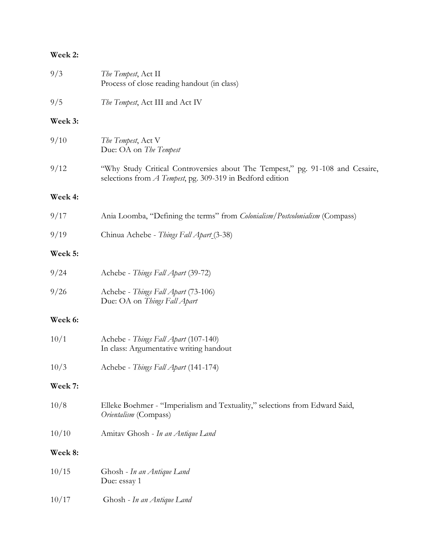## **Week 2:**

| 9/3            | The Tempest, Act II<br>Process of close reading handout (in class)                                                                         |  |
|----------------|--------------------------------------------------------------------------------------------------------------------------------------------|--|
| 9/5            | The Tempest, Act III and Act IV                                                                                                            |  |
| Week 3:        |                                                                                                                                            |  |
| 9/10           | The Tempest, Act V<br>Due: OA on The Tempest                                                                                               |  |
| 9/12           | "Why Study Critical Controversies about The Tempest," pg. 91-108 and Cesaire,<br>selections from A Tempest, pg. 309-319 in Bedford edition |  |
| Week 4:        |                                                                                                                                            |  |
| 9/17           | Ania Loomba, "Defining the terms" from <i>Colonialism</i> / Postcolonialism (Compass)                                                      |  |
| 9/19           | Chinua Achebe - Things Fall Apart (3-38)                                                                                                   |  |
| Week 5:        |                                                                                                                                            |  |
| 9/24           | Achebe - Things Fall Apart (39-72)                                                                                                         |  |
| 9/26           | Achebe - Things Fall Apart (73-106)<br>Due: OA on Things Fall Apart                                                                        |  |
| <b>Week 6:</b> |                                                                                                                                            |  |
| 10/1           | Achebe - Things Fall Apart (107-140)<br>In class: Argumentative writing handout                                                            |  |
| 10/3           | Achebe - Things Fall Apart (141-174)                                                                                                       |  |
| Week 7:        |                                                                                                                                            |  |
| 10/8           | Elleke Boehmer - "Imperialism and Textuality," selections from Edward Said,<br>Orientalism (Compass)                                       |  |
| 10/10          | Amitav Ghosh - In an Antique Land                                                                                                          |  |
| <b>Week 8:</b> |                                                                                                                                            |  |
| 10/15          | Ghosh - In an Antique Land<br>Due: essay 1                                                                                                 |  |
| 10/17          | Ghosh - In an Antique Land                                                                                                                 |  |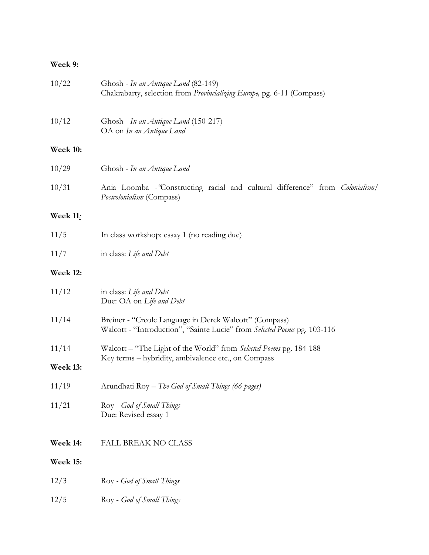# **Week 9:**

| 10/22           | Ghosh - In an Antique Land (82-149)<br>Chakrabarty, selection from Provincializing Europe, pg. 6-11 (Compass)                      |  |  |
|-----------------|------------------------------------------------------------------------------------------------------------------------------------|--|--|
| 10/12           | Ghosh - In an Antique Land (150-217)<br>OA on In an Antique Land                                                                   |  |  |
| <b>Week 10:</b> |                                                                                                                                    |  |  |
| 10/29           | Ghosh - In an Antique Land                                                                                                         |  |  |
| 10/31           | Ania Loomba - 'Constructing racial and cultural difference'' from Colonialism/<br>Postcolonialism (Compass)                        |  |  |
| <b>Week 11:</b> |                                                                                                                                    |  |  |
| 11/5            | In class workshop: essay 1 (no reading due)                                                                                        |  |  |
| 11/7            | in class: Life and Debt                                                                                                            |  |  |
| <b>Week 12:</b> |                                                                                                                                    |  |  |
| 11/12           | in class: Life and Debt<br>Due: OA on Life and Debt                                                                                |  |  |
| 11/14           | Breiner - "Creole Language in Derek Walcott" (Compass)<br>Walcott - "Introduction", "Sainte Lucie" from Selected Poems pg. 103-116 |  |  |
| 11/14           | Walcott – "The Light of the World" from Selected Poems pg. 184-188                                                                 |  |  |
| Week 13:        | Key terms - hybridity, ambivalence etc., on Compass                                                                                |  |  |
| 11/19           | Arundhati Roy – The God of Small Things (66 pages)                                                                                 |  |  |
| 11/21           | Roy - God of Small Things<br>Due: Revised essay 1                                                                                  |  |  |
| Week 14:        | <b>FALL BREAK NO CLASS</b>                                                                                                         |  |  |
| <b>Week 15:</b> |                                                                                                                                    |  |  |
| 12/3            | Roy - God of Small Things                                                                                                          |  |  |
| 12/5            | Roy - God of Small Things                                                                                                          |  |  |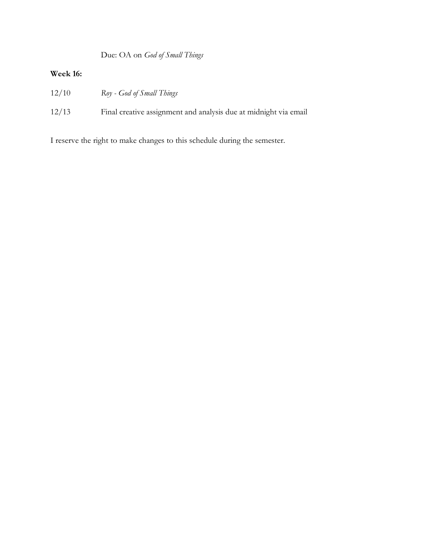Due: OA on *God of Small Things*

## **Week 16:**

- 12/10 *Roy - God of Small Things*
- 12/13 Final creative assignment and analysis due at midnight via email

I reserve the right to make changes to this schedule during the semester.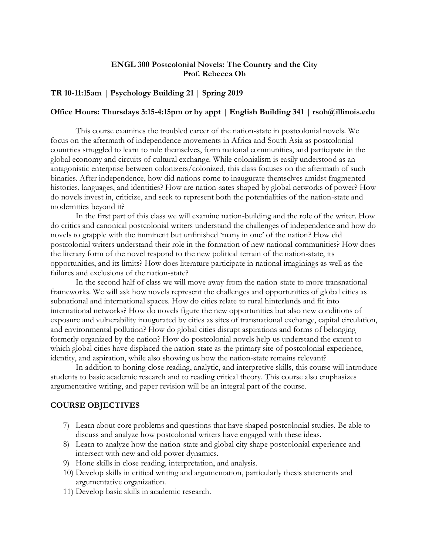## **ENGL 300 Postcolonial Novels: The Country and the City Prof. Rebecca Oh**

## **TR 10-11:15am | Psychology Building 21 | Spring 2019**

## **Office Hours: Thursdays 3:15-4:15pm or by appt | English Building 341 | rsoh@illinois.edu**

This course examines the troubled career of the nation-state in postcolonial novels. We focus on the aftermath of independence movements in Africa and South Asia as postcolonial countries struggled to learn to rule themselves, form national communities, and participate in the global economy and circuits of cultural exchange. While colonialism is easily understood as an antagonistic enterprise between colonizers/colonized, this class focuses on the aftermath of such binaries. After independence, how did nations come to inaugurate themselves amidst fragmented histories, languages, and identities? How are nation-sates shaped by global networks of power? How do novels invest in, criticize, and seek to represent both the potentialities of the nation-state and modernities beyond it?

In the first part of this class we will examine nation-building and the role of the writer. How do critics and canonical postcolonial writers understand the challenges of independence and how do novels to grapple with the imminent but unfinished 'many in one' of the nation? How did postcolonial writers understand their role in the formation of new national communities? How does the literary form of the novel respond to the new political terrain of the nation-state, its opportunities, and its limits? How does literature participate in national imaginings as well as the failures and exclusions of the nation-state?

In the second half of class we will move away from the nation-state to more transnational frameworks. We will ask how novels represent the challenges and opportunities of global cities as subnational and international spaces. How do cities relate to rural hinterlands and fit into international networks? How do novels figure the new opportunities but also new conditions of exposure and vulnerability inaugurated by cities as sites of transnational exchange, capital circulation, and environmental pollution? How do global cities disrupt aspirations and forms of belonging formerly organized by the nation? How do postcolonial novels help us understand the extent to which global cities have displaced the nation-state as the primary site of postcolonial experience, identity, and aspiration, while also showing us how the nation-state remains relevant?

In addition to honing close reading, analytic, and interpretive skills, this course will introduce students to basic academic research and to reading critical theory. This course also emphasizes argumentative writing, and paper revision will be an integral part of the course.

## **COURSE OBJECTIVES**

- 7) Learn about core problems and questions that have shaped postcolonial studies. Be able to discuss and analyze how postcolonial writers have engaged with these ideas.
- 8) Learn to analyze how the nation-state and global city shape postcolonial experience and intersect with new and old power dynamics.
- 9) Hone skills in close reading, interpretation, and analysis.
- 10) Develop skills in critical writing and argumentation, particularly thesis statements and argumentative organization.
- 11) Develop basic skills in academic research.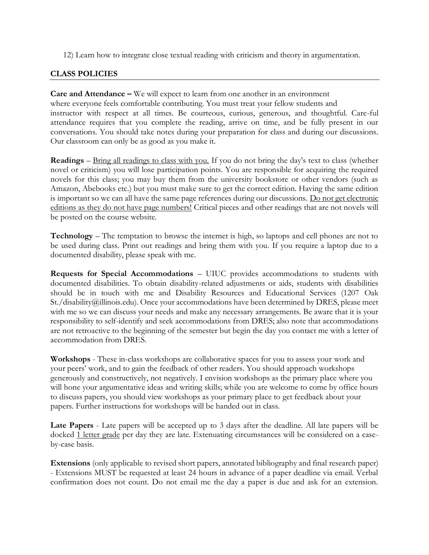12) Learn how to integrate close textual reading with criticism and theory in argumentation.

## **CLASS POLICIES**

**Care and Attendance –** We will expect to learn from one another in an environment where everyone feels comfortable contributing. You must treat your fellow students and instructor with respect at all times. Be courteous, curious, generous, and thoughtful. Care-ful attendance requires that you complete the reading, arrive on time, and be fully present in our conversations. You should take notes during your preparation for class and during our discussions. Our classroom can only be as good as you make it.

**Readings** – Bring all readings to class with you. If you do not bring the day's text to class (whether novel or criticism) you will lose participation points. You are responsible for acquiring the required novels for this class; you may buy them from the university bookstore or other vendors (such as Amazon, Abebooks etc.) but you must make sure to get the correct edition. Having the same edition is important so we can all have the same page references during our discussions. Do not get electronic editions as they do not have page numbers! Critical pieces and other readings that are not novels will be posted on the course website.

**Technology** – The temptation to browse the internet is high, so laptops and cell phones are not to be used during class. Print out readings and bring them with you. If you require a laptop due to a documented disability, please speak with me.

**Requests for Special Accommodations** – UIUC provides accommodations to students with documented disabilities. To obtain disability-related adjustments or aids, students with disabilities should be in touch with me and Disability Resources and Educational Services (1207 Oak St./disability@illinois.edu). Once your accommodations have been determined by DRES, please meet with me so we can discuss your needs and make any necessary arrangements. Be aware that it is your responsibility to self-identify and seek accommodations from DRES; also note that accommodations are not retroactive to the beginning of the semester but begin the day you contact me with a letter of accommodation from DRES.

**Workshops** - These in-class workshops are collaborative spaces for you to assess your work and your peers' work, and to gain the feedback of other readers. You should approach workshops generously and constructively, not negatively. I envision workshops as the primary place where you will hone your argumentative ideas and writing skills; while you are welcome to come by office hours to discuss papers, you should view workshops as your primary place to get feedback about your papers. Further instructions for workshops will be handed out in class.

**Late Papers** - Late papers will be accepted up to 3 days after the deadline. All late papers will be docked 1 letter grade per day they are late. Extenuating circumstances will be considered on a caseby-case basis.

**Extensions** (only applicable to revised short papers, annotated bibliography and final research paper) - Extensions MUST be requested at least 24 hours in advance of a paper deadline via email. Verbal confirmation does not count. Do not email me the day a paper is due and ask for an extension.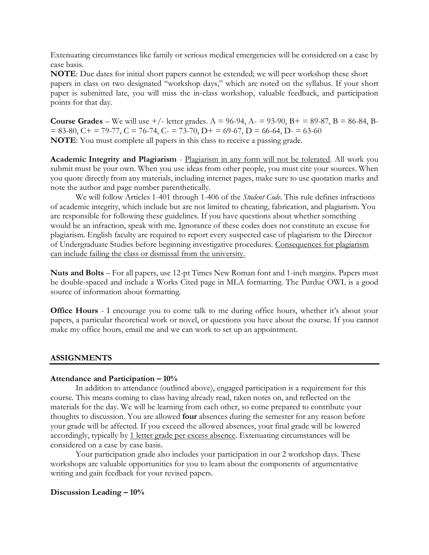Extenuating circumstances like family or serious medical emergencies will be considered on a case by case basis.

**NOTE**: Due dates for initial short papers cannot be extended; we will peer workshop these short papers in class on two designated "workshop days," which are noted on the syllabus. If your short paper is submitted late, you will miss the in-class workshop, valuable feedback, and participation points for that day.

**Course Grades** – We will use  $+/-$  letter grades. A = 96-94, A- = 93-90, B+ = 89-87, B = 86-84, B- $= 83-80$ ,  $C_{+} = 79-77$ ,  $C = 76-74$ ,  $C_{-} = 73-70$ ,  $D_{+} = 69-67$ ,  $D = 66-64$ ,  $D_{-} = 63-60$ **NOTE**: You must complete all papers in this class to receive a passing grade.

**Academic Integrity and Plagiarism** - Plagiarism in any form will not be tolerated. All work you submit must be your own. When you use ideas from other people, you must cite your sources. When you quote directly from any materials, including internet pages, make sure to use quotation marks and note the author and page number parenthetically.

We will follow Articles 1-401 through 1-406 of the *Student Code*. This rule defines infractions of academic integrity, which include but are not limited to cheating, fabrication, and plagiarism. You are responsible for following these guidelines. If you have questions about whether something would be an infraction, speak with me. Ignorance of these codes does not constitute an excuse for plagiarism. English faculty are required to report every suspected case of plagiarism to the Director of Undergraduate Studies before beginning investigative procedures. Consequences for plagiarism can include failing the class or dismissal from the university.

**Nuts and Bolts** – For all papers, use 12-pt Times New Roman font and 1-inch margins. Papers must be double-spaced and include a Works Cited page in MLA formatting. The Purdue OWL is a good source of information about formatting.

**Office Hours** - I encourage you to come talk to me during office hours, whether it's about your papers, a particular theoretical work or novel, or questions you have about the course. If you cannot make my office hours, email me and we can work to set up an appointment.

## **ASSIGNMENTS**

## **Attendance and Participation – 10%**

In addition to attendance (outlined above), engaged participation is a requirement for this course. This means coming to class having already read, taken notes on, and reflected on the materials for the day. We will be learning from each other, so come prepared to contribute your thoughts to discussion. You are allowed **four** absences during the semester for any reason before your grade will be affected. If you exceed the allowed absences, your final grade will be lowered accordingly, typically by 1 letter grade per excess absence. Extenuating circumstances will be considered on a case by case basis.

Your participation grade also includes your participation in our 2 workshop days. These workshops are valuable opportunities for you to learn about the components of argumentative writing and gain feedback for your revised papers.

## **Discussion Leading – 10%**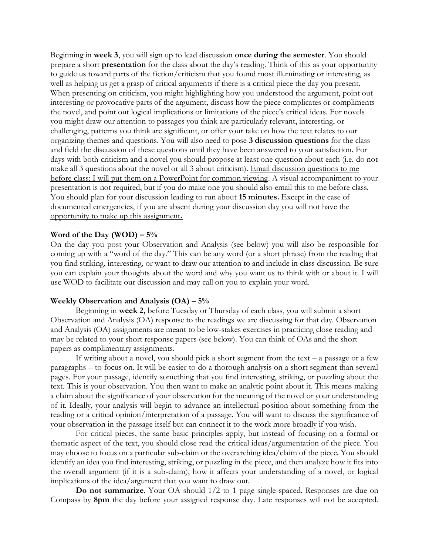Beginning in **week 3**, you will sign up to lead discussion **once during the semester**. You should prepare a short **presentation** for the class about the day's reading. Think of this as your opportunity to guide us toward parts of the fiction/criticism that you found most illuminating or interesting, as well as helping us get a grasp of critical arguments if there is a critical piece the day you present. When presenting on criticism, you might highlighting how you understood the argument, point out interesting or provocative parts of the argument, discuss how the piece complicates or compliments the novel, and point out logical implications or limitations of the piece's critical ideas. For novels you might draw our attention to passages you think are particularly relevant, interesting, or challenging, patterns you think are significant, or offer your take on how the text relates to our organizing themes and questions. You will also need to pose **3 discussion questions** for the class and field the discussion of these questions until they have been answered to your satisfaction. For days with both criticism and a novel you should propose at least one question about each (i.e. do not make all 3 questions about the novel or all 3 about criticism). Email discussion questions to me before class; I will put them on a PowerPoint for common viewing. A visual accompaniment to your presentation is not required, but if you do make one you should also email this to me before class. You should plan for your discussion leading to run about **15 minutes.** Except in the case of documented emergencies, if you are absent during your discussion day you will not have the opportunity to make up this assignment**.**

## **Word of the Day (WOD) – 5%**

On the day you post your Observation and Analysis (see below) you will also be responsible for coming up with a "word of the day." This can be any word (or a short phrase) from the reading that you find striking, interesting, or want to draw our attention to and include in class discussion. Be sure you can explain your thoughts about the word and why you want us to think with or about it. I will use WOD to facilitate our discussion and may call on you to explain your word.

## **Weekly Observation and Analysis (OA) – 5%**

Beginning in **week 2,** before Tuesday or Thursday of each class, you will submit a short Observation and Analysis (OA) response to the readings we are discussing for that day. Observation and Analysis (OA) assignments are meant to be low-stakes exercises in practicing close reading and may be related to your short response papers (see below). You can think of OAs and the short papers as complimentary assignments.

If writing about a novel, you should pick a short segment from the text – a passage or a few paragraphs – to focus on. It will be easier to do a thorough analysis on a short segment than several pages. For your passage, identify something that you find interesting, striking, or puzzling about the text. This is your observation. You then want to make an analytic point about it. This means making a claim about the significance of your observation for the meaning of the novel or your understanding of it. Ideally, your analysis will begin to advance an intellectual position about something from the reading or a critical opinion/interpretation of a passage. You will want to discuss the significance of your observation in the passage itself but can connect it to the work more broadly if you wish.

For critical pieces, the same basic principles apply, but instead of focusing on a formal or thematic aspect of the text, you should close read the critical ideas/argumentation of the piece. You may choose to focus on a particular sub-claim or the overarching idea/claim of the piece. You should identify an idea you find interesting, striking, or puzzling in the piece, and then analyze how it fits into the overall argument (if it is a sub-claim), how it affects your understanding of a novel, or logical implications of the idea/argument that you want to draw out.

**Do not summarize**. Your OA should  $1/2$  to 1 page single-spaced. Responses are due on Compass by **8pm** the day before your assigned response day. Late responses will not be accepted.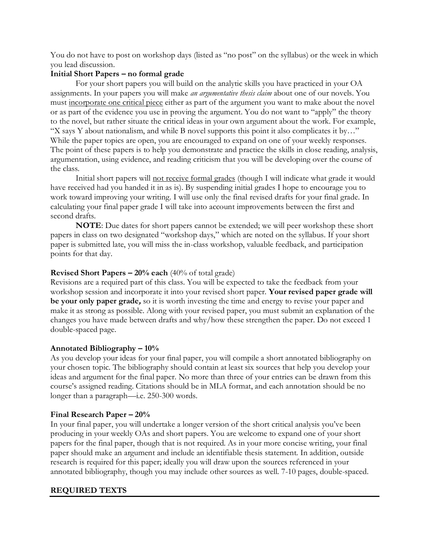You do not have to post on workshop days (listed as "no post" on the syllabus) or the week in which you lead discussion.

## **Initial Short Papers – no formal grade**

For your short papers you will build on the analytic skills you have practiced in your OA assignments. In your papers you will make *an argumentative thesis claim* about one of our novels. You must incorporate one critical piece either as part of the argument you want to make about the novel or as part of the evidence you use in proving the argument. You do not want to "apply" the theory to the novel, but rather situate the critical ideas in your own argument about the work. For example, "X says Y about nationalism, and while B novel supports this point it also complicates it by…" While the paper topics are open, you are encouraged to expand on one of your weekly responses. The point of these papers is to help you demonstrate and practice the skills in close reading, analysis, argumentation, using evidence, and reading criticism that you will be developing over the course of the class.

Initial short papers will not receive formal grades (though I will indicate what grade it would have received had you handed it in as is). By suspending initial grades I hope to encourage you to work toward improving your writing. I will use only the final revised drafts for your final grade. In calculating your final paper grade I will take into account improvements between the first and second drafts.

**NOTE**: Due dates for short papers cannot be extended; we will peer workshop these short papers in class on two designated "workshop days," which are noted on the syllabus. If your short paper is submitted late, you will miss the in-class workshop, valuable feedback, and participation points for that day.

## **Revised Short Papers – 20% each** (40% of total grade)

Revisions are a required part of this class. You will be expected to take the feedback from your workshop session and incorporate it into your revised short paper. **Your revised paper grade will be your only paper grade,** so it is worth investing the time and energy to revise your paper and make it as strong as possible. Along with your revised paper, you must submit an explanation of the changes you have made between drafts and why/how these strengthen the paper. Do not exceed 1 double-spaced page.

## **Annotated Bibliography – 10%**

As you develop your ideas for your final paper, you will compile a short annotated bibliography on your chosen topic. The bibliography should contain at least six sources that help you develop your ideas and argument for the final paper. No more than three of your entries can be drawn from this course's assigned reading. Citations should be in MLA format, and each annotation should be no longer than a paragraph—i.e. 250-300 words.

## **Final Research Paper – 20%**

In your final paper, you will undertake a longer version of the short critical analysis you've been producing in your weekly OAs and short papers. You are welcome to expand one of your short papers for the final paper, though that is not required. As in your more concise writing, your final paper should make an argument and include an identifiable thesis statement. In addition, outside research is required for this paper; ideally you will draw upon the sources referenced in your annotated bibliography, though you may include other sources as well. 7-10 pages, double-spaced.

## **REQUIRED TEXTS**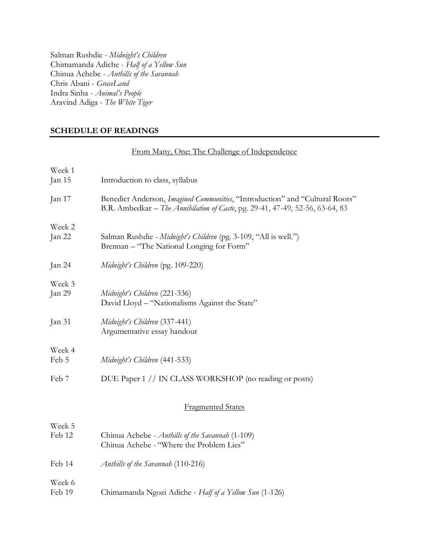Salman Rushdie - *Midnight's Children* Chimamanda Adiche - *Half of a Yellow Sun* Chinua Achebe - *Anthills of the Savannah* Chris Abani - *GraceLand* Indra Sinha - *Animal's People* Aravind Adiga - *The White Tiger*

## **SCHEDULE OF READINGS**

|                  | From Many, One: The Challenge of Independence                                                                                                                 |  |
|------------------|---------------------------------------------------------------------------------------------------------------------------------------------------------------|--|
| Week 1<br>Jan 15 | Introduction to class, syllabus                                                                                                                               |  |
| Jan 17           | Benedict Anderson, Imagined Communities, "Introduction" and "Cultural Roots"<br>B.R. Ambedkar - The Annihilation of Caste, pg. 29-41, 47-49, 52-56, 63-64, 83 |  |
| Week 2<br>Jan 22 | Salman Rushdie - Midnight's Children (pg. 3-109, "All is well.")<br>Brennan - "The National Longing for Form"                                                 |  |
| Jan 24           | Midnight's Children (pg. 109-220)                                                                                                                             |  |
| Week 3<br>Jan 29 | Midnight's Children (221-336)<br>David Lloyd - "Nationalisms Against the State"                                                                               |  |
| Jan 31           | Midnight's Children (337-441)<br>Argumentative essay handout                                                                                                  |  |
| Week 4<br>Feb 5  | Midnight's Children (441-533)                                                                                                                                 |  |
| Feb 7            | DUE Paper 1 // IN CLASS WORKSHOP (no reading or posts)                                                                                                        |  |
|                  | <b>Fragmented States</b>                                                                                                                                      |  |
| Week 5<br>Feb 12 | Chinua Achebe - Anthills of the Savannah (1-109)<br>Chinua Achebe - "Where the Problem Lies"                                                                  |  |
| Feb 14           | Anthills of the Savannah (110-216)                                                                                                                            |  |
| Week 6<br>Feb 19 | Chimamanda Ngozi Adiche - Half of a Yellow Sun (1-126)                                                                                                        |  |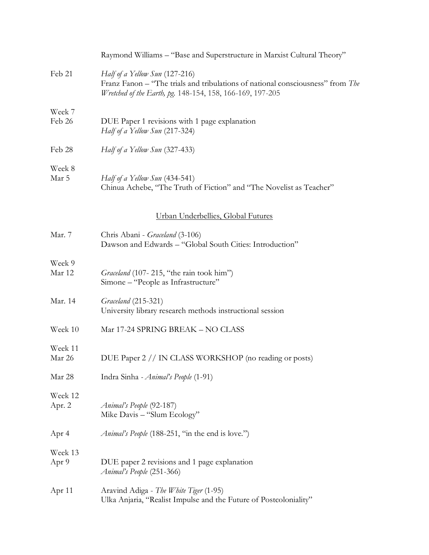|                   | Raymond Williams - "Base and Superstructure in Marxist Cultural Theory"                                                                                                       |
|-------------------|-------------------------------------------------------------------------------------------------------------------------------------------------------------------------------|
| Feb 21            | Half of a Yellow Sun (127-216)<br>Franz Fanon – "The trials and tribulations of national consciousness" from The<br>Wretched of the Earth, pg. 148-154, 158, 166-169, 197-205 |
| Week 7<br>Feb 26  | DUE Paper 1 revisions with 1 page explanation<br>Half of a Yellow Sun (217-324)                                                                                               |
| Feb 28            | Half of a Yellow Sun (327-433)                                                                                                                                                |
| Week 8<br>Mar 5   | Half of a Yellow Sun (434-541)<br>Chinua Achebe, "The Truth of Fiction" and "The Novelist as Teacher"                                                                         |
|                   | Urban Underbellies, Global Futures                                                                                                                                            |
| Mar. 7            | Chris Abani - Graceland (3-106)<br>Dawson and Edwards - "Global South Cities: Introduction"                                                                                   |
| Week 9<br>Mar 12  | Graceland (107-215, "the rain took him")<br>Simone – "People as Infrastructure"                                                                                               |
| Mar. 14           | Graceland (215-321)<br>University library research methods instructional session                                                                                              |
| Week 10           | Mar 17-24 SPRING BREAK - NO CLASS                                                                                                                                             |
| Week 11<br>Mar 26 | DUE Paper 2 // IN CLASS WORKSHOP (no reading or posts)                                                                                                                        |
| Mar 28            | Indra Sinha - <i>Animal's People</i> (1-91)                                                                                                                                   |
| Week 12<br>Apr. 2 | Animal's People (92-187)<br>Mike Davis - "Slum Ecology"                                                                                                                       |
| Apr 4             | Animal's People (188-251, "in the end is love.")                                                                                                                              |
| Week 13<br>Apr 9  | DUE paper 2 revisions and 1 page explanation<br>Animal's People (251-366)                                                                                                     |
| Apr $11$          | Aravind Adiga - The White Tiger (1-95)<br>Ulka Anjaria, "Realist Impulse and the Future of Postcoloniality"                                                                   |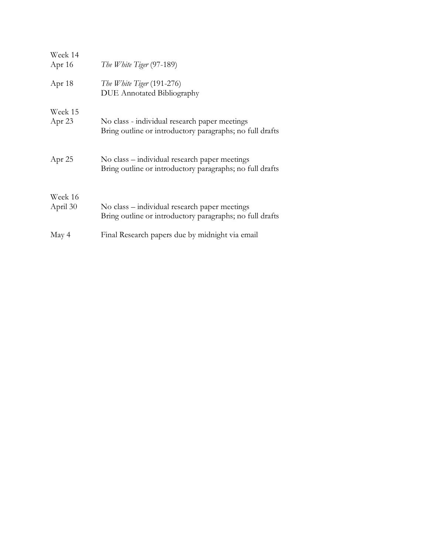| Week 14<br>Apr $16$ | The White Tiger (97-189)                                                                                  |
|---------------------|-----------------------------------------------------------------------------------------------------------|
| Apr 18              | The White Tiger (191-276)<br><b>DUE</b> Annotated Bibliography                                            |
| Week 15<br>Apr 23   | No class - individual research paper meetings<br>Bring outline or introductory paragraphs; no full drafts |
| Apr $25$            | No class – individual research paper meetings<br>Bring outline or introductory paragraphs; no full drafts |
| Week 16<br>April 30 | No class – individual research paper meetings<br>Bring outline or introductory paragraphs; no full drafts |
| May 4               | Final Research papers due by midnight via email                                                           |
|                     |                                                                                                           |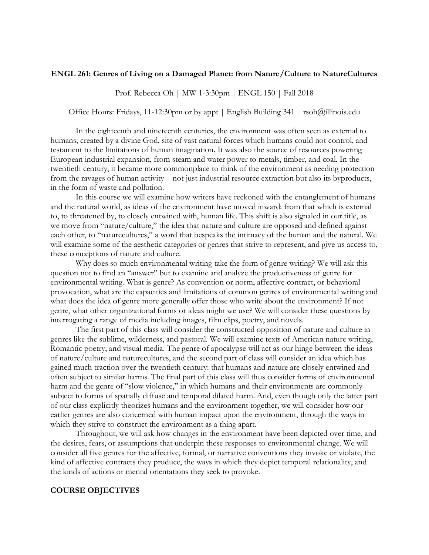### **ENGL 261: Genres of Living on a Damaged Planet: from Nature/Culture to NatureCultures**

Prof. Rebecca Oh | MW 1-3:30pm | ENGL 150 | Fall 2018

Office Hours: Fridays, 11-12:30pm or by appt | English Building 341 | rsoh@illinois.edu

In the eighteenth and nineteenth centuries, the environment was often seen as external to humans; created by a divine God, site of vast natural forces which humans could not control, and testament to the limitations of human imagination. It was also the source of resources powering European industrial expansion, from steam and water power to metals, timber, and coal. In the twentieth century, it became more commonplace to think of the environment as needing protection from the ravages of human activity – not just industrial resource extraction but also its byproducts, in the form of waste and pollution.

In this course we will examine how writers have reckoned with the entanglement of humans and the natural world, as ideas of the environment have moved inward: from that which is external to, to threatened by, to closely entwined with, human life. This shift is also signaled in our title, as we move from "nature/culture," the idea that nature and culture are opposed and defined against each other, to "naturecultures," a word that bespeaks the intimacy of the human and the natural. We will examine some of the aesthetic categories or genres that strive to represent, and give us access to, these conceptions of nature and culture.

Why does so much environmental writing take the form of genre writing? We will ask this question not to find an "answer" but to examine and analyze the productiveness of genre for environmental writing. What is genre? As convention or norm, affective contract, or behavioral provocation, what are the capacities and limitations of common genres of environmental writing and what does the idea of genre more generally offer those who write about the environment? If not genre, what other organizational forms or ideas might we use? We will consider these questions by interrogating a range of media including images, film clips, poetry, and novels.

The first part of this class will consider the constructed opposition of nature and culture in genres like the sublime, wilderness, and pastoral. We will examine texts of American nature writing, Romantic poetry, and visual media. The genre of apocalypse will act as our hinge between the ideas of nature/culture and naturecultures, and the second part of class will consider an idea which has gained much traction over the twentieth century: that humans and nature are closely entwined and often subject to similar harms. The final part of this class will thus consider forms of environmental harm and the genre of "slow violence," in which humans and their environments are commonly subject to forms of spatially diffuse and temporal dilated harm. And, even though only the latter part of our class explicitly theorizes humans and the environment together, we will consider how our earlier genres are also concerned with human impact upon the environment, through the ways in which they strive to construct the environment as a thing apart.

Throughout, we will ask how changes in the environment have been depicted over time, and the desires, fears, or assumptions that underpin these responses to environmental change. We will consider all five genres for the affective, formal, or narrative conventions they invoke or violate, the kind of affective contracts they produce, the ways in which they depict temporal relationality, and the kinds of actions or mental orientations they seek to provoke.

#### **COURSE OBJECTIVES**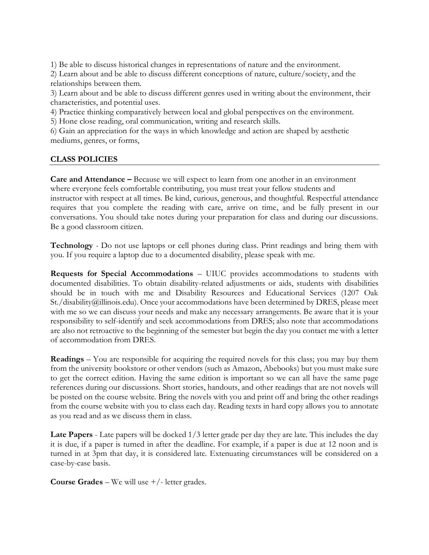1) Be able to discuss historical changes in representations of nature and the environment.

2) Learn about and be able to discuss different conceptions of nature, culture/society, and the relationships between them.

3) Learn about and be able to discuss different genres used in writing about the environment, their characteristics, and potential uses.

4) Practice thinking comparatively between local and global perspectives on the environment.

5) Hone close reading, oral communication, writing and research skills.

6) Gain an appreciation for the ways in which knowledge and action are shaped by aesthetic mediums, genres, or forms,

## **CLASS POLICIES**

**Care and Attendance –** Because we will expect to learn from one another in an environment where everyone feels comfortable contributing, you must treat your fellow students and instructor with respect at all times. Be kind, curious, generous, and thoughtful. Respectful attendance requires that you complete the reading with care, arrive on time, and be fully present in our conversations. You should take notes during your preparation for class and during our discussions. Be a good classroom citizen.

**Technology** - Do not use laptops or cell phones during class. Print readings and bring them with you. If you require a laptop due to a documented disability, please speak with me.

**Requests for Special Accommodations** – UIUC provides accommodations to students with documented disabilities. To obtain disability-related adjustments or aids, students with disabilities should be in touch with me and Disability Resources and Educational Services (1207 Oak St./disability@illinois.edu). Once your accommodations have been determined by DRES, please meet with me so we can discuss your needs and make any necessary arrangements. Be aware that it is your responsibility to self-identify and seek accommodations from DRES; also note that accommodations are also not retroactive to the beginning of the semester but begin the day you contact me with a letter of accommodation from DRES.

**Readings** – You are responsible for acquiring the required novels for this class; you may buy them from the university bookstore or other vendors (such as Amazon, Abebooks) but you must make sure to get the correct edition. Having the same edition is important so we can all have the same page references during our discussions. Short stories, handouts, and other readings that are not novels will be posted on the course website. Bring the novels with you and print off and bring the other readings from the course website with you to class each day. Reading texts in hard copy allows you to annotate as you read and as we discuss them in class.

**Late Papers** - Late papers will be docked 1/3 letter grade per day they are late. This includes the day it is due, if a paper is turned in after the deadline. For example, if a paper is due at 12 noon and is turned in at 3pm that day, it is considered late. Extenuating circumstances will be considered on a case-by-case basis.

**Course Grades** – We will use +/- letter grades.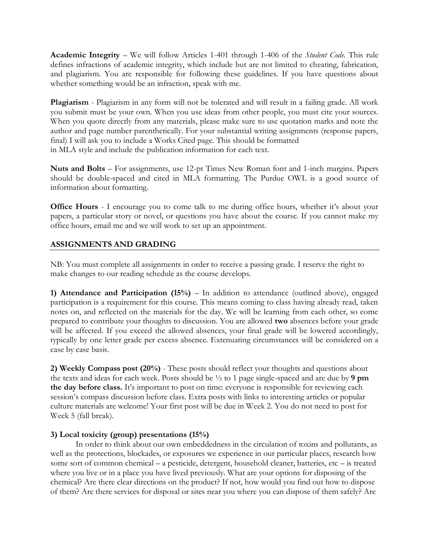**Academic Integrity** – We will follow Articles 1-401 through 1-406 of the *Student Code*. This rule defines infractions of academic integrity, which include but are not limited to cheating, fabrication, and plagiarism. You are responsible for following these guidelines. If you have questions about whether something would be an infraction, speak with me.

**Plagiarism** - Plagiarism in any form will not be tolerated and will result in a failing grade. All work you submit must be your own. When you use ideas from other people, you must cite your sources. When you quote directly from any materials, please make sure to use quotation marks and note the author and page number parenthetically. For your substantial writing assignments (response papers, final) I will ask you to include a Works Cited page. This should be formatted in MLA style and include the publication information for each text.

**Nuts and Bolts** – For assignments, use 12-pt Times New Roman font and 1-inch margins. Papers should be double-spaced and cited in MLA formatting. The Purdue OWL is a good source of information about formatting.

**Office Hours** - I encourage you to come talk to me during office hours, whether it's about your papers, a particular story or novel, or questions you have about the course. If you cannot make my office hours, email me and we will work to set up an appointment.

## **ASSIGNMENTS AND GRADING**

NB: You must complete all assignments in order to receive a passing grade. I reserve the right to make changes to our reading schedule as the course develops.

**1) Attendance and Participation (15%)** – In addition to attendance (outlined above), engaged participation is a requirement for this course. This means coming to class having already read, taken notes on, and reflected on the materials for the day. We will be learning from each other, so come prepared to contribute your thoughts to discussion. You are allowed **two** absences before your grade will be affected. If you exceed the allowed absences, your final grade will be lowered accordingly, typically by one letter grade per excess absence. Extenuating circumstances will be considered on a case by case basis.

**2) Weekly Compass post (20%)** - These posts should reflect your thoughts and questions about the texts and ideas for each week. Posts should be ½ to 1 page single-spaced and are due by **9 pm the day before class.** It's important to post on time: everyone is responsible for reviewing each session's compass discussion before class. Extra posts with links to interesting articles or popular culture materials are welcome! Your first post will be due in Week 2. You do not need to post for Week 5 (fall break).

## **3) Local toxicity (group) presentations (15%)**

In order to think about our own embeddedness in the circulation of toxins and pollutants, as well as the protections, blockades, or exposures we experience in our particular places, research how some sort of common chemical – a pesticide, detergent, household cleaner, batteries, etc – is treated where you live or in a place you have lived previously. What are your options for disposing of the chemical? Are there clear directions on the product? If not, how would you find out how to dispose of them? Are there services for disposal or sites near you where you can dispose of them safely? Are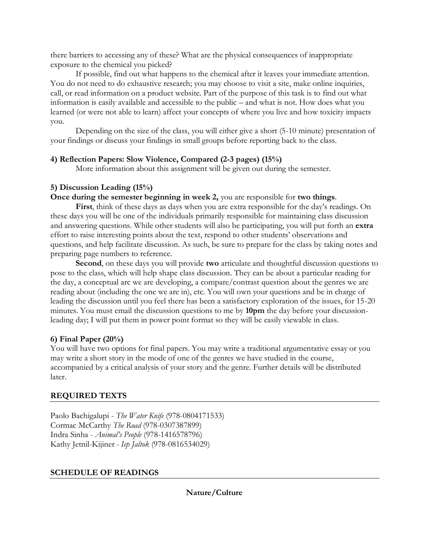there barriers to accessing any of these? What are the physical consequences of inappropriate exposure to the chemical you picked?

If possible, find out what happens to the chemical after it leaves your immediate attention. You do not need to do exhaustive research; you may choose to visit a site, make online inquiries, call, or read information on a product website. Part of the purpose of this task is to find out what information is easily available and accessible to the public – and what is not. How does what you learned (or were not able to learn) affect your concepts of where you live and how toxicity impacts you.

Depending on the size of the class, you will either give a short (5-10 minute) presentation of your findings or discuss your findings in small groups before reporting back to the class.

## **4) Reflection Papers: Slow Violence, Compared (2-3 pages) (15%)**

More information about this assignment will be given out during the semester.

## **5) Discussion Leading (15%)**

# **Once during the semester beginning in week 2,** you are responsible for **two things**.

**First**, think of these days as days when you are extra responsible for the day's readings. On these days you will be one of the individuals primarily responsible for maintaining class discussion and answering questions. While other students will also be participating, you will put forth an **extra**  effort to raise interesting points about the text, respond to other students' observations and questions, and help facilitate discussion. As such, be sure to prepare for the class by taking notes and preparing page numbers to reference.

**Second**, on these days you will provide **two** articulate and thoughtful discussion questions to pose to the class, which will help shape class discussion. They can be about a particular reading for the day, a conceptual arc we are developing, a compare/contrast question about the genres we are reading about (including the one we are in), etc. You will own your questions and be in charge of leading the discussion until you feel there has been a satisfactory exploration of the issues, for 15-20 minutes. You must email the discussion questions to me by **10pm** the day before your discussionleading day; I will put them in power point format so they will be easily viewable in class.

# **6) Final Paper (20%)**

You will have two options for final papers. You may write a traditional argumentative essay or you may write a short story in the mode of one of the genres we have studied in the course, accompanied by a critical analysis of your story and the genre. Further details will be distributed later.

# **REQUIRED TEXTS**

Paolo Bachigalupi - *The Water Knife* (978-0804171533) Cormac McCarthy *The Road* (978-0307387899) Indra Sinha - *Animal's People* (978-1416578796) Kathy Jetnil-Kijiner *- Iep Jaltok* (978-0816534029)

# **SCHEDULE OF READINGS**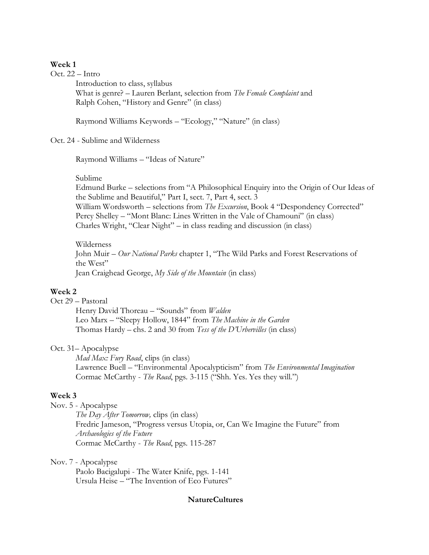### **Week 1**

Oct. 22 – Intro

Introduction to class, syllabus What is genre? – Lauren Berlant, selection from *The Female Complaint* and Ralph Cohen, "History and Genre" (in class)

Raymond Williams Keywords – "Ecology," "Nature" (in class)

## Oct. 24 - Sublime and Wilderness

Raymond Williams – "Ideas of Nature"

#### Sublime

Edmund Burke – selections from "A Philosophical Enquiry into the Origin of Our Ideas of the Sublime and Beautiful," Part I, sect. 7, Part 4, sect. 3 William Wordsworth – selections from *The Excursion*, Book 4 "Despondency Corrected" Percy Shelley – "Mont Blanc: Lines Written in the Vale of Chamouni" (in class) Charles Wright, "Clear Night" – in class reading and discussion (in class)

Wilderness John Muir – *Our National Parks* chapter 1, "The Wild Parks and Forest Reservations of the West" Jean Craighead George, *My Side of the Mountain* (in class)

### **Week 2**

Oct 29 – Pastoral

Henry David Thoreau – "Sounds" from *Walden* Leo Marx – "Sleepy Hollow, 1844" from *The Machine in the Garden* Thomas Hardy *–* chs. 2 and 30 from *Tess of the D'Urbervilles* (in class)

## Oct. 31– Apocalypse

*Mad Max: Fury Road*, clips (in class) Lawrence Buell – "Environmental Apocalypticism" from *The Environmental Imagination*  Cormac McCarthy - *The Road*, pgs. 3-115 ("Shh. Yes. Yes they will.")

## **Week 3**

Nov. 5 - Apocalypse

*The Day After Tomorrow,* clips (in class) Fredric Jameson, "Progress versus Utopia, or, Can We Imagine the Future" from *Archaeologies of the Future* Cormac McCarthy - *The Road*, pgs. 115-287

### Nov. 7 - Apocalypse

Paolo Bacigalupi - The Water Knife, pgs. 1-141 Ursula Heise – "The Invention of Eco Futures"

### **NatureCultures**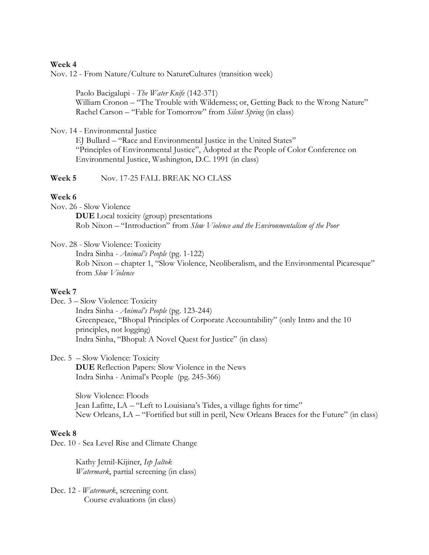### **Week 4**

Nov. 12 - From Nature/Culture to NatureCultures (transition week)

Paolo Bacigalupi - *The Water Knife* (142-371) William Cronon – "The Trouble with Wilderness; or, Getting Back to the Wrong Nature" Rachel Carson – "Fable for Tomorrow" from *Silent Spring* (in class)

Nov. 14 - Environmental Justice

EJ Bullard – "Race and Environmental Justice in the United States" "Principles of Environmental Justice", Adopted at the People of Color Conference on Environmental Justice, Washington, D.C. 1991 (in class)

## **Week 5** Nov. 17-25 FALL BREAK NO CLASS

## **Week 6**

Nov. 26 - Slow Violence

**DUE** Local toxicity (group) presentations Rob Nixon – "Introduction" from *Slow Violence and the Environmentalism of the Poor*

Nov. 28 - Slow Violence: Toxicity

Indra Sinha - *Animal's People* (pg. 1-122) Rob Nixon – chapter 1, "Slow Violence, Neoliberalism, and the Environmental Picaresque" from *Slow Violence*

### **Week 7**

Dec. 3 – Slow Violence: Toxicity Indra Sinha - *Animal's People* (pg. 123-244) Greenpeace, "Bhopal Principles of Corporate Accountability" (only Intro and the 10 principles, not logging) Indra Sinha, "Bhopal: A Novel Quest for Justice" (in class)

Dec. 5 – Slow Violence: Toxicity

**DUE** Reflection Papers: Slow Violence in the News Indra Sinha - Animal's People (pg. 245-366)

Slow Violence: Floods Jean Lafitte, LA – "Left to Louisiana's Tides, a village fights for time" New Orleans, LA – "Fortified but still in peril, New Orleans Braces for the Future" (in class)

### **Week 8**

Dec. 10 - Sea Level Rise and Climate Change

Kathy Jetnil-Kijiner, *Iep Jaltok Watermark*, partial screening (in class)

Dec. 12 *- Watermark*, screening cont. Course evaluations (in class)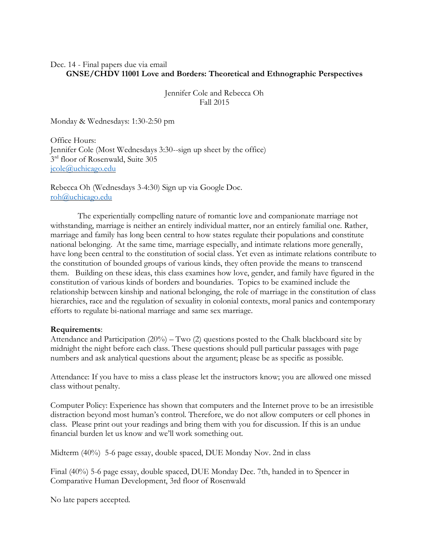## Dec. 14 - Final papers due via email **GNSE/CHDV 11001 Love and Borders: Theoretical and Ethnographic Perspectives**

Jennifer Cole and Rebecca Oh Fall 2015

Monday & Wednesdays: 1:30-2:50 pm

Office Hours: Jennifer Cole (Most Wednesdays 3:30--sign up sheet by the office) 3rd floor of Rosenwald, Suite 305 [jcole@uchicago.edu](mailto:jcole@uchicago.edu)

Rebecca Oh (Wednesdays 3-4:30) Sign up via Google Doc. [roh@uchicago.edu](mailto:roh@uchicago.edu)

The experientially compelling nature of romantic love and companionate marriage not withstanding, marriage is neither an entirely individual matter, nor an entirely familial one. Rather, marriage and family has long been central to how states regulate their populations and constitute national belonging. At the same time, marriage especially, and intimate relations more generally, have long been central to the constitution of social class. Yet even as intimate relations contribute to the constitution of bounded groups of various kinds, they often provide the means to transcend them. Building on these ideas, this class examines how love, gender, and family have figured in the constitution of various kinds of borders and boundaries. Topics to be examined include the relationship between kinship and national belonging, the role of marriage in the constitution of class hierarchies, race and the regulation of sexuality in colonial contexts, moral panics and contemporary efforts to regulate bi-national marriage and same sex marriage.

## **Requirements**:

Attendance and Participation (20%) – Two (2) questions posted to the Chalk blackboard site by midnight the night before each class. These questions should pull particular passages with page numbers and ask analytical questions about the argument; please be as specific as possible.

Attendance: If you have to miss a class please let the instructors know; you are allowed one missed class without penalty.

Computer Policy: Experience has shown that computers and the Internet prove to be an irresistible distraction beyond most human's control. Therefore, we do not allow computers or cell phones in class. Please print out your readings and bring them with you for discussion. If this is an undue financial burden let us know and we'll work something out.

Midterm (40%) 5-6 page essay, double spaced, DUE Monday Nov. 2nd in class

Final (40%) 5-6 page essay, double spaced, DUE Monday Dec. 7th, handed in to Spencer in Comparative Human Development, 3rd floor of Rosenwald

No late papers accepted.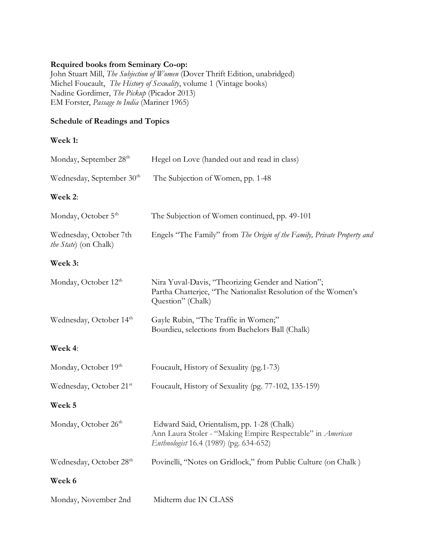## **Required books from Seminary Co-op:**

John Stuart Mill, *The Subjection of Women* (Dover Thrift Edition, unabridged) Michel Foucault, *The History of Sexuality*, volume 1 (Vintage books) Nadine Gordimer, *The Pickup* (Picador 2013) EM Forster, *Passage to India* (Mariner 1965)

## **Schedule of Readings and Topics**

## **Week 1:**

| Monday, September 28 <sup>th</sup>              | Hegel on Love (handed out and read in class)                                                                                                       |
|-------------------------------------------------|----------------------------------------------------------------------------------------------------------------------------------------------------|
| Wednesday, September 30 <sup>th</sup>           | The Subjection of Women, pp. 1-48                                                                                                                  |
| Week 2:                                         |                                                                                                                                                    |
| Monday, October 5 <sup>th</sup>                 | The Subjection of Women continued, pp. 49-101                                                                                                      |
| Wednesday, October 7th<br>the State) (on Chalk) | Engels "The Family" from The Origin of the Family, Private Property and                                                                            |
| Week 3:                                         |                                                                                                                                                    |
| Monday, October 12 <sup>th</sup>                | Nira Yuval-Davis, "Theorizing Gender and Nation";<br>Partha Chatterjee, "The Nationalist Resolution of the Women's<br>Question" (Chalk)            |
| Wednesday, October 14 <sup>th</sup>             | Gayle Rubin, "The Traffic in Women;"<br>Bourdieu, selections from Bachelors Ball (Chalk)                                                           |
| Week 4:                                         |                                                                                                                                                    |
| Monday, October 19th                            | Foucault, History of Sexuality (pg. 1-73)                                                                                                          |
| Wednesday, October 21st                         | Foucault, History of Sexuality (pg. 77-102, 135-159)                                                                                               |
| Week 5                                          |                                                                                                                                                    |
| Monday, October 26 <sup>th</sup>                | Edward Said, Orientalism, pp. 1-28 (Chalk)<br>Ann Laura Stoler - "Making Empire Respectable" in American<br>Enthnologist 16.4 (1989) (pg. 634-652) |
| Wednesday, October 28 <sup>th</sup>             | Povinelli, "Notes on Gridlock," from Public Culture (on Chalk)                                                                                     |
| Week 6                                          |                                                                                                                                                    |
| Monday, November 2nd                            | Midterm due IN CLASS                                                                                                                               |